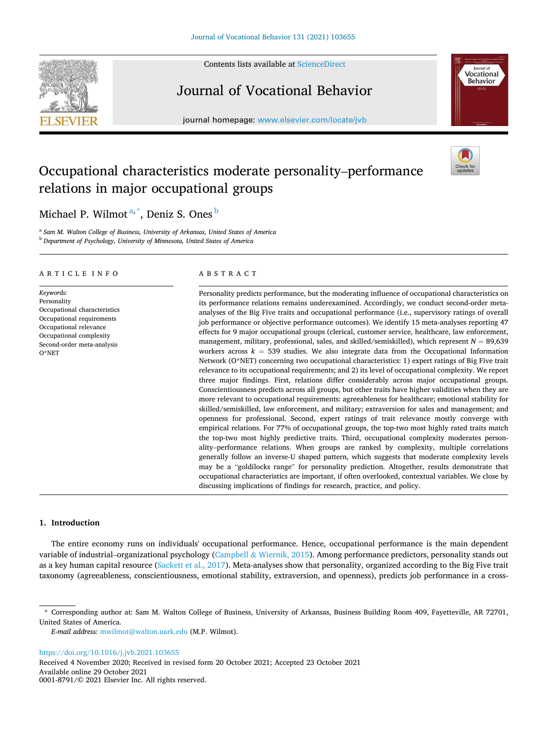Contents lists available at [ScienceDirect](www.sciencedirect.com/science/journal/00018791)



# Journal of Vocational Behavior

journal homepage: [www.elsevier.com/locate/jvb](https://www.elsevier.com/locate/jvb)



# Occupational characteristics moderate personality–performance relations in major occupational groups



Michael P. Wilmot <sup>a,</sup> \*, Deniz S. Ones <sup>b</sup>

<sup>a</sup> Sam M. Walton College of Business, University of Arkansas, United States of America <sup>b</sup> *Department of Psychology, University of Minnesota, United States of America* 

# A R T I C L E I N F O

*Keywords:*  Personality Occupational characteristics Occupational requirements Occupational relevance Occupational complexity Second-order meta-analysis O\*NET

#### ABSTRACT

Personality predicts performance, but the moderating influence of occupational characteristics on its performance relations remains underexamined. Accordingly, we conduct second-order metaanalyses of the Big Five traits and occupational performance (i.e., supervisory ratings of overall job performance or objective performance outcomes). We identify 15 meta-analyses reporting 47 effects for 9 major occupational groups (clerical, customer service, healthcare, law enforcement, management, military, professional, sales, and skilled/semiskilled), which represent  $N = 89,639$ workers across  $k = 539$  studies. We also integrate data from the Occupational Information Network (O\*NET) concerning two occupational characteristics: 1) expert ratings of Big Five trait relevance to its occupational requirements; and 2) its level of occupational complexity. We report three major findings. First, relations differ considerably across major occupational groups. Conscientiousness predicts across all groups, but other traits have higher validities when they are more relevant to occupational requirements: agreeableness for healthcare; emotional stability for skilled/semiskilled, law enforcement, and military; extraversion for sales and management; and openness for professional. Second, expert ratings of trait relevance mostly converge with empirical relations. For 77% of occupational groups, the top-two most highly rated traits match the top-two most highly predictive traits. Third, occupational complexity moderates personality–performance relations. When groups are ranked by complexity, multiple correlations generally follow an inverse-U shaped pattern, which suggests that moderate complexity levels may be a "goldilocks range" for personality prediction. Altogether, results demonstrate that occupational characteristics are important, if often overlooked, contextual variables. We close by discussing implications of findings for research, practice, and policy.

## **1. Introduction**

The entire economy runs on individuals' occupational performance. Hence, occupational performance is the main dependent variable of industrial–organizational psychology (Campbell & [Wiernik, 2015\)](#page-16-0). Among performance predictors, personality stands out as a key human capital resource ([Sackett et al., 2017](#page-17-0)). Meta-analyses show that personality, organized according to the Big Five trait taxonomy (agreeableness, conscientiousness, emotional stability, extraversion, and openness), predicts job performance in a cross-

<https://doi.org/10.1016/j.jvb.2021.103655>

Available online 29 October 2021 0001-8791/© 2021 Elsevier Inc. All rights reserved. Received 4 November 2020; Received in revised form 20 October 2021; Accepted 23 October 2021

<sup>\*</sup> Corresponding author at: Sam M. Walton College of Business, University of Arkansas, Business Building Room 409, Fayetteville, AR 72701, United States of America.

*E-mail address:* [mwilmot@walton.uark.edu](mailto:mwilmot@walton.uark.edu) (M.P. Wilmot).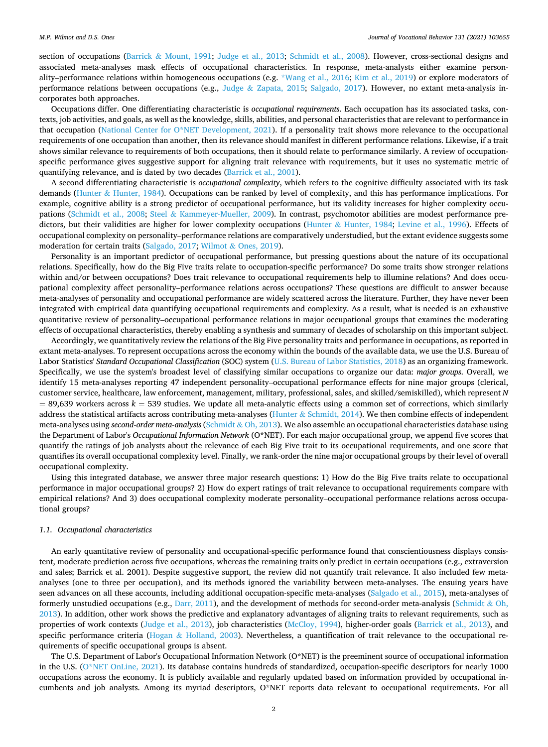section of occupations (Barrick & [Mount, 1991;](#page-16-0) [Judge et al., 2013;](#page-16-0) [Schmidt et al., 2008\)](#page-17-0). However, cross-sectional designs and associated meta-analyses mask effects of occupational characteristics. In response, meta-analysts either examine personality–performance relations within homogeneous occupations (e.g. [\\*Wang et al., 2016](#page-17-0); [Kim et al., 2019\)](#page-16-0) or explore moderators of performance relations between occupations (e.g., Judge & [Zapata, 2015](#page-16-0); [Salgado, 2017](#page-17-0)). However, no extant meta-analysis incorporates both approaches.

Occupations differ. One differentiating characteristic is *occupational requirements*. Each occupation has its associated tasks, contexts, job activities, and goals, as well as the knowledge, skills, abilities, and personal characteristics that are relevant to performance in that occupation ([National Center for O\\*NET Development, 2021](#page-16-0)). If a personality trait shows more relevance to the occupational requirements of one occupation than another, then its relevance should manifest in different performance relations. Likewise, if a trait shows similar relevance to requirements of both occupations, then it should relate to performance similarly. A review of occupationspecific performance gives suggestive support for aligning trait relevance with requirements, but it uses no systematic metric of quantifying relevance, and is dated by two decades ([Barrick et al., 2001\)](#page-16-0).

A second differentiating characteristic is *occupational complexity*, which refers to the cognitive difficulty associated with its task demands (Hunter & [Hunter, 1984](#page-16-0)). Occupations can be ranked by level of complexity, and this has performance implications. For example, cognitive ability is a strong predictor of occupational performance, but its validity increases for higher complexity occupations ([Schmidt et al., 2008](#page-17-0); Steel & [Kammeyer-Mueller, 2009](#page-17-0)). In contrast, psychomotor abilities are modest performance predictors, but their validities are higher for lower complexity occupations (Hunter & [Hunter, 1984](#page-16-0); [Levine et al., 1996](#page-16-0)). Effects of occupational complexity on personality–performance relations are comparatively understudied, but the extant evidence suggests some moderation for certain traits ([Salgado, 2017](#page-17-0); Wilmot & [Ones, 2019\)](#page-17-0).

Personality is an important predictor of occupational performance, but pressing questions about the nature of its occupational relations. Specifically, how do the Big Five traits relate to occupation-specific performance? Do some traits show stronger relations within and/or between occupations? Does trait relevance to occupational requirements help to illumine relations? And does occupational complexity affect personality–performance relations across occupations? These questions are difficult to answer because meta-analyses of personality and occupational performance are widely scattered across the literature. Further, they have never been integrated with empirical data quantifying occupational requirements and complexity. As a result, what is needed is an exhaustive quantitative review of personality–occupational performance relations in major occupational groups that examines the moderating effects of occupational characteristics, thereby enabling a synthesis and summary of decades of scholarship on this important subject.

Accordingly, we quantitatively review the relations of the Big Five personality traits and performance in occupations, as reported in extant meta-analyses. To represent occupations across the economy within the bounds of the available data, we use the U.S. Bureau of Labor Statistics' *Standard Occupational Classification* (SOC) system ([U.S. Bureau of Labor Statistics, 2018](#page-17-0)) as an organizing framework. Specifically, we use the system's broadest level of classifying similar occupations to organize our data: *major groups*. Overall, we identify 15 meta-analyses reporting 47 independent personality–occupational performance effects for nine major groups (clerical, customer service, healthcare, law enforcement, management, military, professional, sales, and skilled/semiskilled), which represent *N*   $= 89,639$  workers across  $k = 539$  studies. We update all meta-analytic effects using a common set of corrections, which similarly address the statistical artifacts across contributing meta-analyses (Hunter & [Schmidt, 2014](#page-16-0)). We then combine effects of independent meta-analyses using *second-order meta-analysis* (Schmidt & [Oh, 2013\)](#page-17-0). We also assemble an occupational characteristics database using the Department of Labor's *Occupational Information Network* (O\*NET). For each major occupational group, we append five scores that quantify the ratings of job analysts about the relevance of each Big Five trait to its occupational requirements, and one score that quantifies its overall occupational complexity level. Finally, we rank-order the nine major occupational groups by their level of overall occupational complexity.

Using this integrated database, we answer three major research questions: 1) How do the Big Five traits relate to occupational performance in major occupational groups? 2) How do expert ratings of trait relevance to occupational requirements compare with empirical relations? And 3) does occupational complexity moderate personality–occupational performance relations across occupational groups?

# *1.1. Occupational characteristics*

An early quantitative review of personality and occupational-specific performance found that conscientiousness displays consistent, moderate prediction across five occupations, whereas the remaining traits only predict in certain occupations (e.g., extraversion and sales; Barrick et al. 2001). Despite suggestive support, the review did not quantify trait relevance. It also included few metaanalyses (one to three per occupation), and its methods ignored the variability between meta-analyses. The ensuing years have seen advances on all these accounts, including additional occupation-specific meta-analyses ([Salgado et al., 2015\)](#page-17-0), meta-analyses of formerly unstudied occupations (e.g., [Darr, 2011](#page-16-0)), and the development of methods for second-order meta-analysis ([Schmidt](#page-17-0)  $\&$  Oh, [2013\)](#page-17-0). In addition, other work shows the predictive and explanatory advantages of aligning traits to relevant requirements, such as properties of work contexts ([Judge et al., 2013\)](#page-16-0), job characteristics [\(McCloy, 1994\)](#page-16-0), higher-order goals ([Barrick et al., 2013](#page-16-0)), and specific performance criteria (Hogan & [Holland, 2003\)](#page-16-0). Nevertheless, a quantification of trait relevance to the occupational requirements of specific occupational groups is absent.

The U.S. Department of Labor's Occupational Information Network (O\*NET) is the preeminent source of occupational information in the U.S. [\(O\\*NET OnLine, 2021](#page-16-0)). Its database contains hundreds of standardized, occupation-specific descriptors for nearly 1000 occupations across the economy. It is publicly available and regularly updated based on information provided by occupational incumbents and job analysts. Among its myriad descriptors, O\*NET reports data relevant to occupational requirements. For all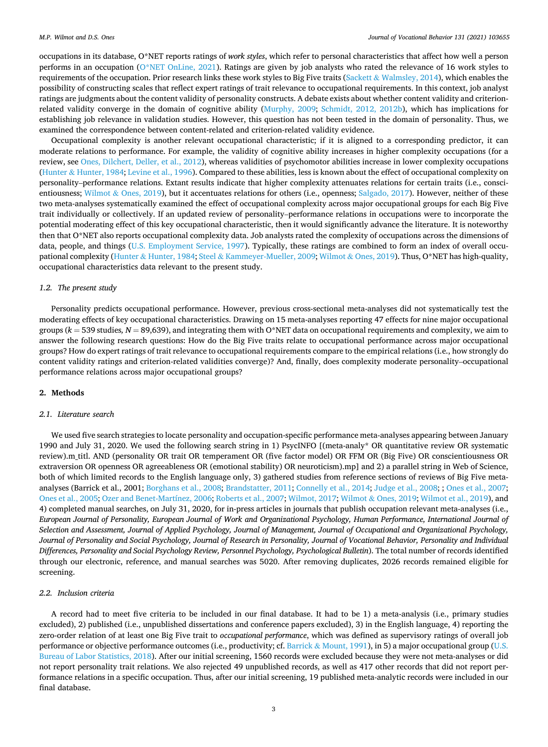#### *M.P. Wilmot and D.S. Ones*

occupations in its database, O\*NET reports ratings of *work styles*, which refer to personal characteristics that affect how well a person performs in an occupation ([O\\*NET OnLine, 2021](#page-16-0)). Ratings are given by job analysts who rated the relevance of 16 work styles to requirements of the occupation. Prior research links these work styles to Big Five traits (Sackett & [Walmsley, 2014\)](#page-16-0), which enables the possibility of constructing scales that reflect expert ratings of trait relevance to occupational requirements. In this context, job analyst ratings are judgments about the content validity of personality constructs. A debate exists about whether content validity and criterionrelated validity converge in the domain of cognitive ability [\(Murphy, 2009;](#page-16-0) [Schmidt, 2012, 2012b\)](#page-17-0), which has implications for establishing job relevance in validation studies. However, this question has not been tested in the domain of personality. Thus, we examined the correspondence between content-related and criterion-related validity evidence.

Occupational complexity is another relevant occupational characteristic; if it is aligned to a corresponding predictor, it can moderate relations to performance. For example, the validity of cognitive ability increases in higher complexity occupations (for a review, see [Ones, Dilchert, Deller, et al., 2012](#page-16-0)), whereas validities of psychomotor abilities increase in lower complexity occupations (Hunter & [Hunter, 1984](#page-16-0); [Levine et al., 1996](#page-16-0)). Compared to these abilities, less is known about the effect of occupational complexity on personality–performance relations. Extant results indicate that higher complexity attenuates relations for certain traits (i.e., consci-entiousness; Wilmot & [Ones, 2019](#page-17-0)), but it accentuates relations for others (i.e., openness; [Salgado, 2017\)](#page-17-0). However, neither of these two meta-analyses systematically examined the effect of occupational complexity across major occupational groups for each Big Five trait individually or collectively. If an updated review of personality–performance relations in occupations were to incorporate the potential moderating effect of this key occupational characteristic, then it would significantly advance the literature. It is noteworthy then that O\*NET also reports occupational complexity data. Job analysts rated the complexity of occupations across the dimensions of data, people, and things ([U.S. Employment Service, 1997](#page-17-0)). Typically, these ratings are combined to form an index of overall occupational complexity (Hunter & [Hunter, 1984;](#page-16-0) Steel & [Kammeyer-Mueller, 2009;](#page-17-0) Wilmot & [Ones, 2019](#page-17-0)). Thus, O\*NET has high-quality, occupational characteristics data relevant to the present study.

#### *1.2. The present study*

Personality predicts occupational performance. However, previous cross-sectional meta-analyses did not systematically test the moderating effects of key occupational characteristics. Drawing on 15 meta-analyses reporting 47 effects for nine major occupational groups  $(k = 539$  studies,  $N = 89,639$ , and integrating them with O\*NET data on occupational requirements and complexity, we aim to answer the following research questions: How do the Big Five traits relate to occupational performance across major occupational groups? How do expert ratings of trait relevance to occupational requirements compare to the empirical relations (i.e., how strongly do content validity ratings and criterion-related validities converge)? And, finally, does complexity moderate personality–occupational performance relations across major occupational groups?

# **2. Methods**

#### *2.1. Literature search*

We used five search strategies to locate personality and occupation-specific performance meta-analyses appearing between January 1990 and July 31, 2020. We used the following search string in 1) PsycINFO [(meta-analy\* OR quantitative review OR systematic review).m\_titl. AND (personality OR trait OR temperament OR (five factor model) OR FFM OR (Big Five) OR conscientiousness OR extraversion OR openness OR agreeableness OR (emotional stability) OR neuroticism).mp] and 2) a parallel string in Web of Science, both of which limited records to the English language only, 3) gathered studies from reference sections of reviews of Big Five metaanalyses (Barrick et al., 2001; [Borghans et al., 2008](#page-16-0); [Brandstatter, 2011](#page-16-0); [Connelly et al., 2014; Judge et al., 2008;](#page-16-0) ; [Ones et al., 2007](#page-16-0); [Ones et al., 2005](#page-16-0); [Ozer and Benet-Martínez, 2006; Roberts et al., 2007;](#page-16-0) [Wilmot, 2017;](#page-17-0) Wilmot & [Ones, 2019](#page-17-0); [Wilmot et al., 2019](#page-17-0)), and 4) completed manual searches, on July 31, 2020, for in-press articles in journals that publish occupation relevant meta-analyses (i.e., *European Journal of Personality, European Journal of Work and Organizational Psychology, Human Performance, International Journal of Selection and Assessment, Journal of Applied Psychology, Journal of Management, Journal of Occupational and Organizational Psychology, Journal of Personality and Social Psychology, Journal of Research in Personality, Journal of Vocational Behavior, Personality and Individual Differences, Personality and Social Psychology Review, Personnel Psychology, Psychological Bulletin*). The total number of records identified through our electronic, reference, and manual searches was 5020. After removing duplicates, 2026 records remained eligible for screening.

## *2.2. Inclusion criteria*

A record had to meet five criteria to be included in our final database. It had to be 1) a meta-analysis (i.e., primary studies excluded), 2) published (i.e., unpublished dissertations and conference papers excluded), 3) in the English language, 4) reporting the zero-order relation of at least one Big Five trait to *occupational performance*, which was defined as supervisory ratings of overall job performance or objective performance outcomes (i.e., productivity; cf. Barrick & [Mount, 1991](#page-16-0)), in 5) a major occupational group ([U.S.](#page-17-0) [Bureau of Labor Statistics, 2018\)](#page-17-0). After our initial screening, 1560 records were excluded because they were not meta-analyses or did not report personality trait relations. We also rejected 49 unpublished records, as well as 417 other records that did not report performance relations in a specific occupation. Thus, after our initial screening, 19 published meta-analytic records were included in our final database.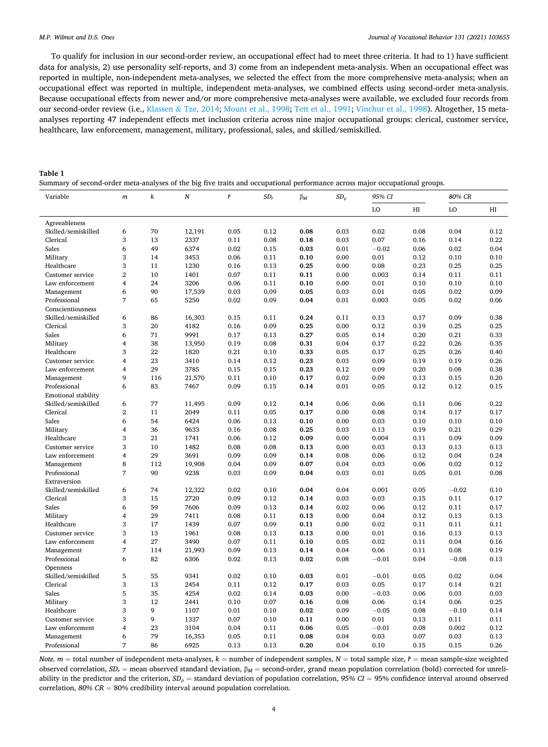<span id="page-3-0"></span>To qualify for inclusion in our second-order review, an occupational effect had to meet three criteria. It had to 1) have sufficient data for analysis, 2) use personality self-reports, and 3) come from an independent meta-analysis. When an occupational effect was reported in multiple, non-independent meta-analyses, we selected the effect from the more comprehensive meta-analysis; when an occupational effect was reported in multiple, independent meta-analyses, we combined effects using second-order meta-analysis. Because occupational effects from newer and/or more comprehensive meta-analyses were available, we excluded four records from our second-order review (i.e., Klassen & [Tze, 2014;](#page-16-0) [Mount et al., 1998](#page-16-0); [Tett et al., 1991](#page-17-0); [Vinchur et al., 1998\)](#page-17-0). Altogether, 15 metaanalyses reporting 47 independent effects met inclusion criteria across nine major occupational groups: clerical, customer service, healthcare, law enforcement, management, military, professional, sales, and skilled/semiskilled.

# **Table 1**

Summary of second-order meta-analyses of the big five traits and occupational performance across major occupational groups.

| Variable                       | $\boldsymbol{m}$ | k   | $\boldsymbol{N}$ | $\bar{r}$ | $SD_r$       | $\overline{\rho}_M$ | $SD_{\rho}$ | 95% CI  |      | 80% CR  |      |
|--------------------------------|------------------|-----|------------------|-----------|--------------|---------------------|-------------|---------|------|---------|------|
|                                |                  |     |                  |           |              |                     |             | LO      | HI   | LO      | H    |
| Agreeableness                  |                  |     |                  |           |              |                     |             |         |      |         |      |
| Skilled/semiskilled            | 6                | 70  | 12,191           | 0.05      | 0.12         | 0.08                | 0.03        | 0.02    | 0.08 | 0.04    | 0.12 |
| Clerical                       | 3                | 13  | 2337             | 0.11      | 0.08         | 0.18                | 0.03        | 0.07    | 0.16 | 0.14    | 0.22 |
| Sales                          | 6                | 49  | 6374             | 0.02      | 0.15         | 0.03                | 0.01        | $-0.02$ | 0.06 | 0.02    | 0.04 |
| Military                       | 3                | 14  | 3453             | 0.06      | 0.11         | 0.10                | 0.00        | 0.01    | 0.12 | 0.10    | 0.10 |
| Healthcare                     | 3                | 11  | 1230             | 0.16      | 0.13         | 0.25                | 0.00        | 0.08    | 0.23 | 0.25    | 0.25 |
| Customer service               | $\overline{2}$   | 10  | 1401             | 0.07      | 0.11         | 0.11                | 0.00        | 0.003   | 0.14 | 0.11    | 0.11 |
| Law enforcement                | 4                | 24  | 3206             | 0.06      | 0.11         | 0.10                | 0.00        | 0.01    | 0.10 | 0.10    | 0.10 |
| Management                     | 6                | 90  | 17,539           | 0.03      | 0.09         | 0.05                | 0.03        | 0.01    | 0.05 | 0.02    | 0.09 |
| Professional                   | $\overline{7}$   | 65  | 5250             | 0.02      | 0.09         | 0.04                | 0.01        | 0.003   | 0.05 | 0.02    | 0.06 |
| Conscientiousness              |                  |     |                  |           |              |                     |             |         |      |         |      |
| Skilled/semiskilled            | 6                | 86  | 16,303           | 0.15      | 0.11         | 0.24                | 0.11        | 0.13    | 0.17 | 0.09    | 0.38 |
| Clerical                       | 3                | 20  | 4182             | 0.16      | 0.09         | 0.25                | 0.00        | 0.12    | 0.19 | 0.25    | 0.25 |
| Sales                          | 6                | 71  | 9991             | 0.17      | 0.13         | 0.27                | 0.05        | 0.14    | 0.20 | 0.21    | 0.33 |
| Military                       | 4                | 38  | 13,950           | 0.19      | 0.08         | 0.31                | 0.04        | 0.17    | 0.22 | 0.26    | 0.35 |
| Healthcare                     | 3                | 22  | 1820             | 0.21      | 0.10         | 0.33                | 0.05        | 0.17    | 0.25 | 0.26    | 0.40 |
| Customer service               | 4                | 23  | 3410             | 0.14      | 0.12         | 0.23                | 0.03        | 0.09    | 0.19 | 0.19    | 0.26 |
| Law enforcement                | $\overline{4}$   | 29  | 3785             | 0.15      | 0.15         | 0.23                | 0.12        | 0.09    | 0.20 | 0.08    | 0.38 |
| Management                     | 9                | 116 | 21,570           | 0.11      | 0.10         | 0.17                | 0.02        | 0.09    | 0.13 | 0.15    | 0.20 |
| Professional                   | 6                | 83  | 7467             | 0.09      | 0.15         | 0.14                | 0.01        | 0.05    | 0.12 | 0.12    | 0.15 |
| <b>Emotional stability</b>     |                  |     |                  |           |              |                     |             |         |      |         |      |
| Skilled/semiskilled            | 6                | 77  | 11,495           | 0.09      | 0.12         | 0.14                | 0.06        | 0.06    | 0.11 | 0.06    | 0.22 |
| Clerical                       | $\overline{2}$   | 11  | 2049             | 0.11      | 0.05         | 0.17                | 0.00        | 0.08    | 0.14 | 0.17    | 0.17 |
| Sales                          | 6                | 54  | 6424             | 0.06      | 0.13         | 0.10                | 0.00        | 0.03    | 0.10 | 0.10    | 0.10 |
| Military                       | 4                | 36  | 9633             | 0.16      | 0.08         | 0.25                | 0.03        | 0.13    | 0.19 | 0.21    | 0.29 |
| Healthcare                     | 3                | 21  | 1741             | 0.06      | 0.12         | 0.09                | 0.00        | 0.004   | 0.11 | 0.09    | 0.09 |
| Customer service               | 3                | 10  | 1482             | 0.08      | 0.08         | 0.13                | 0.00        | 0.03    | 0.13 | 0.13    | 0.13 |
| Law enforcement                | $\overline{4}$   | 29  | 3691             | 0.09      | 0.09         | 0.14                | 0.08        | 0.06    | 0.12 | 0.04    | 0.24 |
| Management                     | 8                | 112 | 19,908           | 0.04      | 0.09         | 0.07                | 0.04        | 0.03    | 0.06 | 0.02    | 0.12 |
| Professional                   | 7                | 90  | 9238             | 0.03      | 0.09         | 0.04                | 0.03        | 0.01    | 0.05 | 0.01    | 0.08 |
| Extraversion                   |                  |     |                  |           |              |                     |             |         |      |         |      |
| Skilled/semiskilled            | 6                | 74  | 12,322           | 0.02      | 0.10         | 0.04                | 0.04        | 0.001   | 0.05 | $-0.02$ | 0.10 |
| Clerical                       | 3                | 15  | 2720             | 0.09      | 0.12         | 0.14                | 0.03        | 0.03    | 0.15 | 0.11    | 0.17 |
| Sales                          | 6                | 59  | 7606             | 0.09      | 0.13         | 0.14                | 0.02        | 0.06    | 0.12 | 0.11    | 0.17 |
| Military                       | 4                | 29  | 7411             | 0.08      | 0.11         | 0.13                | 0.00        | 0.04    | 0.12 | 0.13    | 0.13 |
| Healthcare                     | 3                | 17  | 1439             | 0.07      | 0.09         | 0.11                | 0.00        | 0.02    | 0.11 | 0.11    | 0.11 |
| Customer service               | 3                | 13  | 1961             | 0.08      | 0.13         | 0.13                | 0.00        | 0.01    | 0.16 | 0.13    | 0.13 |
| Law enforcement                | $\overline{4}$   | 27  | 3490             | 0.07      | 0.11         | 0.10                | 0.05        | 0.02    | 0.11 | 0.04    | 0.16 |
| Management                     | 7                | 114 | 21,993           | 0.09      | 0.13         | 0.14                | 0.04        | 0.06    | 0.11 | 0.08    | 0.19 |
| Professional                   | 6                | 82  | 6306             | 0.02      | 0.13         | 0.02                | 0.08        | $-0.01$ | 0.04 | $-0.08$ | 0.13 |
| Openness                       |                  |     |                  |           |              |                     |             |         |      |         |      |
| Skilled/semiskilled            | 5                | 55  | 9341             | 0.02      | 0.10         | 0.03                | 0.01        | $-0.01$ | 0.05 | 0.02    | 0.04 |
| Clerical                       | 3                | 13  | 2454             | 0.11      | 0.12         | 0.17                | 0.03        | 0.05    | 0.17 | 0.14    | 0.21 |
| Sales                          | 5                | 35  | 4254             | 0.02      | 0.14         | 0.03                | 0.00        | $-0.03$ | 0.06 | 0.03    | 0.03 |
| Military                       | 3                | 12  | 2441             | 0.10      | 0.07         | 0.16                | 0.08        | 0.06    | 0.14 | 0.06    | 0.25 |
|                                | 3                | 9   | 1107             | 0.01      |              | 0.02                | 0.09        | $-0.05$ | 0.08 | $-0.10$ | 0.14 |
| Healthcare<br>Customer service | 3                | 9   | 1337             | 0.07      | 0.10<br>0.10 | 0.11                | 0.00        | 0.01    | 0.13 | 0.11    | 0.11 |
| Law enforcement                | 4                | 23  | 3104             | 0.04      | 0.11         | 0.06                | 0.05        | $-0.01$ | 0.08 | 0.002   | 0.12 |
|                                |                  | 79  |                  |           |              |                     |             |         |      |         | 0.13 |
| Management                     | 6<br>7           |     | 16,353           | 0.05      | 0.11         | 0.08                | 0.04        | 0.03    | 0.07 | 0.03    |      |
| Professional                   |                  | 86  | 6925             | 0.13      | 0.13         | 0.20                | 0.04        | 0.10    | 0.15 | 0.15    | 0.26 |

*Note.*  $m =$  total number of independent meta-analyses,  $k =$  number of independent samples,  $N =$  total sample size,  $\bar{r} =$  mean sample-size weighted observed correlation,  $SD_r$  = mean observed standard deviation,  $\bar{p}_M$  = second-order, grand mean population correlation (bold) corrected for unreliability in the predictor and the criterion,  $SD_0$  = standard deviation of population correlation,  $95\%$  CI = 95% confidence interval around observed correlation, *80% CR* = 80% credibility interval around population correlation.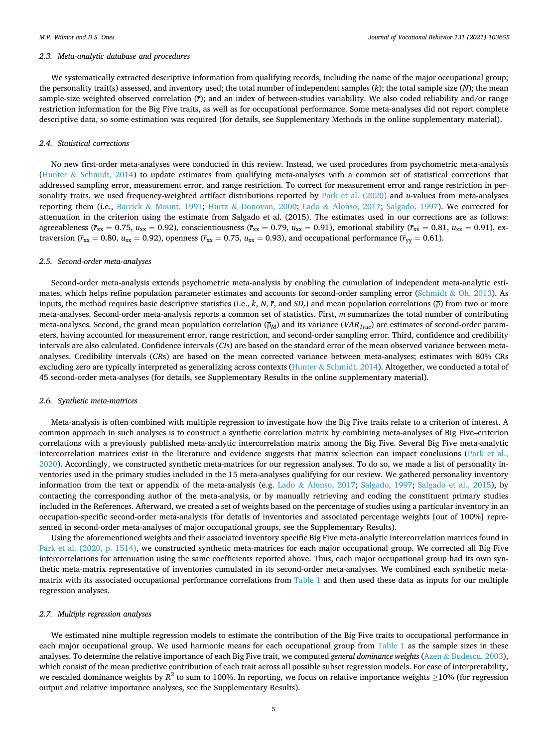#### *2.3. Meta-analytic database and procedures*

We systematically extracted descriptive information from qualifying records, including the name of the major occupational group; the personality trait(s) assessed, and inventory used; the total number of independent samples (*k*); the total sample size (*N*); the mean sample-size weighted observed correlation ( $\bar{r}$ ); and an index of between-studies variability. We also coded reliability and/or range restriction information for the Big Five traits, as well as for occupational performance. Some meta-analyses did not report complete descriptive data, so some estimation was required (for details, see Supplementary Methods in the online supplementary material).

#### *2.4. Statistical corrections*

No new first-order meta-analyses were conducted in this review. Instead, we used procedures from psychometric meta-analysis (Hunter  $\&$  [Schmidt, 2014\)](#page-16-0) to update estimates from qualifying meta-analyses with a common set of statistical corrections that addressed sampling error, measurement error, and range restriction. To correct for measurement error and range restriction in personality traits, we used frequency-weighted artifact distributions reported by [Park et al. \(2020\)](#page-16-0) and *u*-values from meta-analyses reporting them (i.e., Barrick & [Mount, 1991](#page-16-0); Hurtz & [Donovan, 2000](#page-16-0); Lado & [Alonso, 2017](#page-16-0); [Salgado, 1997](#page-17-0)). We corrected for attenuation in the criterion using the estimate from Salgado et al. (2015). The estimates used in our corrections are as follows: agreeableness ( $\bar{r}_{xx} = 0.75$ ,  $u_{xx} = 0.92$ ), conscientiousness ( $\bar{r}_{xx} = 0.79$ ,  $u_{xx} = 0.91$ ), emotional stability ( $\bar{r}_{xx} = 0.81$ ,  $u_{xx} = 0.91$ ), extraversion ( $\bar{r}_{xx}$  = 0.80,  $u_{xx}$  = 0.92), openness ( $\bar{r}_{xx}$  = 0.75,  $u_{xx}$  = 0.93), and occupational performance ( $\bar{r}_{yy}$  = 0.61).

## *2.5. Second-order meta-analyses*

Second-order meta-analysis extends psychometric meta-analysis by enabling the cumulation of independent meta-analytic estimates, which helps refine population parameter estimates and accounts for second-order sampling error (Schmidt  $\&$  [Oh, 2013\)](#page-17-0). As inputs, the method requires basic descriptive statistics (i.e.,  $k$ ,  $N$ ,  $\bar{r}$ , and  $SD_r$ ) and mean population correlations  $(\bar{p})$  from two or more meta-analyses. Second-order meta-analysis reports a common set of statistics. First, *m* summarizes the total number of contributing meta-analyses. Second, the grand mean population correlation (ρ*M*) and its variance (*VARTrue*) are estimates of second-order parameters, having accounted for measurement error, range restriction, and second-order sampling error. Third, confidence and credibility intervals are also calculated. Confidence intervals (*CI*s) are based on the standard error of the mean observed variance between metaanalyses. Credibility intervals (*CR*s) are based on the mean corrected variance between meta-analyses; estimates with 80% CRs excluding zero are typically interpreted as generalizing across contexts (Hunter & [Schmidt, 2014\)](#page-16-0). Altogether, we conducted a total of 45 second-order meta-analyses (for details, see Supplementary Results in the online supplementary material).

## *2.6. Synthetic meta-matrices*

Meta-analysis is often combined with multiple regression to investigate how the Big Five traits relate to a criterion of interest. A common approach in such analyses is to construct a synthetic correlation matrix by combining meta-analyses of Big Five–criterion correlations with a previously published meta-analytic intercorrelation matrix among the Big Five. Several Big Five meta-analytic intercorrelation matrices exist in the literature and evidence suggests that matrix selection can impact conclusions ([Park et al.,](#page-16-0) [2020\)](#page-16-0). Accordingly, we constructed synthetic meta-matrices for our regression analyses. To do so, we made a list of personality inventories used in the primary studies included in the 15 meta-analyses qualifying for our review. We gathered personality inventory information from the text or appendix of the meta-analysis (e.g. Lado & [Alonso, 2017](#page-16-0); [Salgado, 1997;](#page-17-0) [Salgado et al., 2015](#page-17-0)), by contacting the corresponding author of the meta-analysis, or by manually retrieving and coding the constituent primary studies included in the References. Afterward, we created a set of weights based on the percentage of studies using a particular inventory in an occupation-specific second-order meta-analysis (for details of inventories and associated percentage weights [out of 100%] represented in second-order meta-analyses of major occupational groups, see the Supplementary Results).

Using the aforementioned weights and their associated inventory specific Big Five meta-analytic intercorrelation matrices found in [Park et al. \(2020, p. 1514\)](#page-16-0), we constructed synthetic meta-matrices for each major occupational group. We corrected all Big Five intercorrelations for attenuation using the same coefficients reported above. Thus, each major occupational group had its own synthetic meta-matrix representative of inventories cumulated in its second-order meta-analyses. We combined each synthetic metamatrix with its associated occupational performance correlations from [Table 1](#page-3-0) and then used these data as inputs for our multiple regression analyses.

#### *2.7. Multiple regression analyses*

We estimated nine multiple regression models to estimate the contribution of the Big Five traits to occupational performance in each major occupational group. We used harmonic means for each occupational group from [Table 1](#page-3-0) as the sample sizes in these analyses. To determine the relative importance of each Big Five trait, we computed *general dominance weights* (Azen & [Budescu, 2003](#page-16-0)), which consist of the mean predictive contribution of each trait across all possible subset regression models. For ease of interpretability, we rescaled dominance weights by  $R^2$  to sum to 100%. In reporting, we focus on relative importance weights  $\geq$ 10% (for regression output and relative importance analyses, see the Supplementary Results).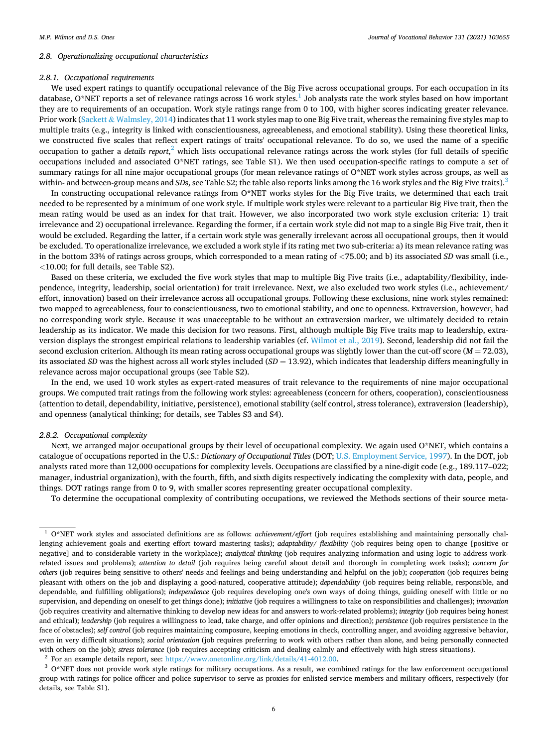#### *2.8. Operationalizing occupational characteristics*

#### *2.8.1. Occupational requirements*

We used expert ratings to quantify occupational relevance of the Big Five across occupational groups. For each occupation in its database, O\*NET reports a set of relevance ratings across 16 work styles.<sup>1</sup> Job analysts rate the work styles based on how important they are to requirements of an occupation. Work style ratings range from 0 to 100, with higher scores indicating greater relevance. Prior work (Sackett & [Walmsley, 2014\)](#page-16-0) indicates that 11 work styles map to one Big Five trait, whereas the remaining five styles map to multiple traits (e.g., integrity is linked with conscientiousness, agreeableness, and emotional stability). Using these theoretical links, we constructed five scales that reflect expert ratings of traits' occupational relevance. To do so, we used the name of a specific occupation to gather a *details report*,<sup>2</sup> which lists occupational relevance ratings across the work styles (for full details of specific occupations included and associated O\*NET ratings, see Table S1). We then used occupation-specific ratings to compute a set of summary ratings for all nine major occupational groups (for mean relevance ratings of O\*NET work styles across groups, as well as within- and between-group means and *SD*s, see Table S2; the table also reports links among the 16 work styles and the Big Five traits).<sup>3</sup>

In constructing occupational relevance ratings from O\*NET works styles for the Big Five traits, we determined that each trait needed to be represented by a minimum of one work style. If multiple work styles were relevant to a particular Big Five trait, then the mean rating would be used as an index for that trait. However, we also incorporated two work style exclusion criteria: 1) trait irrelevance and 2) occupational irrelevance. Regarding the former, if a certain work style did not map to a single Big Five trait, then it would be excluded. Regarding the latter, if a certain work style was generally irrelevant across all occupational groups, then it would be excluded. To operationalize irrelevance, we excluded a work style if its rating met two sub-criteria: a) its mean relevance rating was in the bottom 33% of ratings across groups, which corresponded to a mean rating of *<*75.00; and b) its associated *SD* was small (i.e., *<*10.00; for full details, see Table S2).

Based on these criteria, we excluded the five work styles that map to multiple Big Five traits (i.e., adaptability/flexibility, independence, integrity, leadership, social orientation) for trait irrelevance. Next, we also excluded two work styles (i.e., achievement/ effort, innovation) based on their irrelevance across all occupational groups. Following these exclusions, nine work styles remained: two mapped to agreeableness, four to conscientiousness, two to emotional stability, and one to openness. Extraversion, however, had no corresponding work style. Because it was unacceptable to be without an extraversion marker, we ultimately decided to retain leadership as its indicator. We made this decision for two reasons. First, although multiple Big Five traits map to leadership, extraversion displays the strongest empirical relations to leadership variables (cf. [Wilmot et al., 2019](#page-17-0)). Second, leadership did not fail the second exclusion criterion. Although its mean rating across occupational groups was slightly lower than the cut-off score (*M* = 72.03), its associated *SD* was the highest across all work styles included (*SD* = 13.92), which indicates that leadership differs meaningfully in relevance across major occupational groups (see Table S2).

In the end, we used 10 work styles as expert-rated measures of trait relevance to the requirements of nine major occupational groups. We computed trait ratings from the following work styles: agreeableness (concern for others, cooperation), conscientiousness (attention to detail, dependability, initiative, persistence), emotional stability (self control, stress tolerance), extraversion (leadership), and openness (analytical thinking; for details, see Tables S3 and S4).

#### *2.8.2. Occupational complexity*

Next, we arranged major occupational groups by their level of occupational complexity. We again used O\*NET, which contains a catalogue of occupations reported in the U.S.: *Dictionary of Occupational Titles* (DOT; [U.S. Employment Service, 1997](#page-17-0)). In the DOT, job analysts rated more than 12,000 occupations for complexity levels. Occupations are classified by a nine-digit code (e.g., 189.117–022; manager, industrial organization), with the fourth, fifth, and sixth digits respectively indicating the complexity with data, people, and things. DOT ratings range from 0 to 9, with smaller scores representing greater occupational complexity.

To determine the occupational complexity of contributing occupations, we reviewed the Methods sections of their source meta-

<sup>2</sup> For an example details report, see: [https://www.onetonline.org/link/details/41-4012.00.](https://www.onetonline.org/link/details/41-4012.00)

<sup>3</sup> O\*NET does not provide work style ratings for military occupations. As a result, we combined ratings for the law enforcement occupational group with ratings for police officer and police supervisor to serve as proxies for enlisted service members and military officers, respectively (for details, see Table S1).

<sup>1</sup> O\*NET work styles and associated definitions are as follows: *achievement/effort* (job requires establishing and maintaining personally challenging achievement goals and exerting effort toward mastering tasks); *adaptability/ flexibility* (job requires being open to change [positive or negative] and to considerable variety in the workplace); *analytical thinking* (job requires analyzing information and using logic to address workrelated issues and problems); *attention to detail* (job requires being careful about detail and thorough in completing work tasks); *concern for others* (job requires being sensitive to others' needs and feelings and being understanding and helpful on the job); *cooperation* (job requires being pleasant with others on the job and displaying a good-natured, cooperative attitude); *dependability* (job requires being reliable, responsible, and dependable, and fulfilling obligations); *independence* (job requires developing one's own ways of doing things, guiding oneself with little or no supervision, and depending on oneself to get things done); *initiative* (job requires a willingness to take on responsibilities and challenges); *innovation*  (job requires creativity and alternative thinking to develop new ideas for and answers to work-related problems); *integrity* (job requires being honest and ethical); *leadership* (job requires a willingness to lead, take charge, and offer opinions and direction); *persistence* (job requires persistence in the face of obstacles); *self control* (job requires maintaining composure, keeping emotions in check, controlling anger, and avoiding aggressive behavior, even in very difficult situations); *social orientation* (job requires preferring to work with others rather than alone, and being personally connected with others on the job); *stress tolerance* (job requires accepting criticism and dealing calmly and effectively with high stress situations).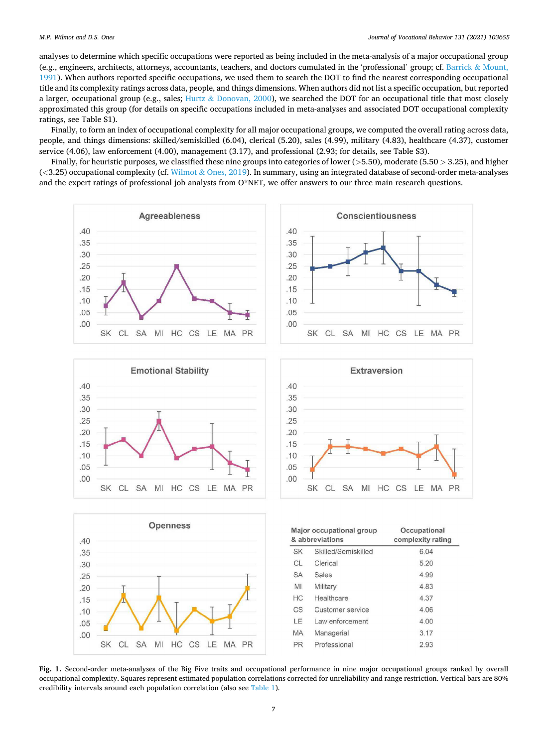<span id="page-6-0"></span>analyses to determine which specific occupations were reported as being included in the meta-analysis of a major occupational group (e.g., engineers, architects, attorneys, accountants, teachers, and doctors cumulated in the 'professional' group; cf. [Barrick](#page-16-0) & Mount, [1991\)](#page-16-0). When authors reported specific occupations, we used them to search the DOT to find the nearest corresponding occupational title and its complexity ratings across data, people, and things dimensions. When authors did not list a specific occupation, but reported a larger, occupational group (e.g., sales; Hurtz & [Donovan, 2000\)](#page-16-0), we searched the DOT for an occupational title that most closely approximated this group (for details on specific occupations included in meta-analyses and associated DOT occupational complexity ratings, see Table S1).

Finally, to form an index of occupational complexity for all major occupational groups, we computed the overall rating across data, people, and things dimensions: skilled/semiskilled (6.04), clerical (5.20), sales (4.99), military (4.83), healthcare (4.37), customer service (4.06), law enforcement (4.00), management (3.17), and professional (2.93; for details, see Table S3).

Finally, for heuristic purposes, we classified these nine groups into categories of lower (*>*5.50), moderate (5.50 *>* 3.25), and higher (*<*3.25) occupational complexity (cf. Wilmot & [Ones, 2019](#page-17-0)). In summary, using an integrated database of second-order meta-analyses and the expert ratings of professional job analysts from O\*NET, we offer answers to our three main research questions.







**Fig. 1.** Second-order meta-analyses of the Big Five traits and occupational performance in nine major occupational groups ranked by overall occupational complexity. Squares represent estimated population correlations corrected for unreliability and range restriction. Vertical bars are 80% credibility intervals around each population correlation (also see [Table 1\)](#page-3-0).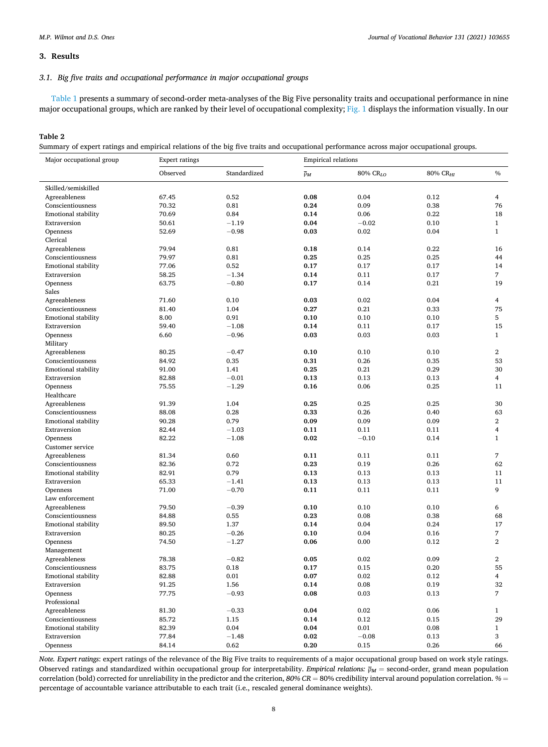## <span id="page-7-0"></span>**3. Results**

## *3.1. Big five traits and occupational performance in major occupational groups*

[Table 1](#page-3-0) presents a summary of second-order meta-analyses of the Big Five personality traits and occupational performance in nine major occupational groups, which are ranked by their level of occupational complexity; [Fig. 1](#page-6-0) displays the information visually. In our

## **Table 2**

Summary of expert ratings and empirical relations of the big five traits and occupational performance across major occupational groups.

| Major occupational group   | <b>Expert ratings</b> |                 | <b>Empirical relations</b> |          |                      |                   |  |  |
|----------------------------|-----------------------|-----------------|----------------------------|----------|----------------------|-------------------|--|--|
|                            | Observed              | Standardized    | $\overline{\rho}_M$        | 80% CRLO | 80% CR <sub>HI</sub> | $\%$              |  |  |
| Skilled/semiskilled        |                       |                 |                            |          |                      |                   |  |  |
| Agreeableness              | 67.45                 | 0.52            | 0.08                       | 0.04     | 0.12                 | 4                 |  |  |
| Conscientiousness          | 70.32                 | 0.81            | 0.24                       | 0.09     | 0.38                 | 76                |  |  |
| <b>Emotional stability</b> | 70.69                 | 0.84            | 0.14                       | 0.06     | 0.22                 | 18                |  |  |
| Extraversion               | 50.61                 | $-1.19$         | 0.04                       | $-0.02$  | 0.10                 | $\mathbf{1}$      |  |  |
| Openness                   | 52.69                 | $-0.98$         | 0.03                       | 0.02     | 0.04                 | $\mathbf{1}$      |  |  |
| Clerical                   |                       |                 |                            |          |                      |                   |  |  |
| Agreeableness              | 79.94                 | 0.81            | 0.18                       | 0.14     | 0.22                 | 16                |  |  |
| Conscientiousness          | 79.97                 | 0.81            | 0.25                       | 0.25     | 0.25                 | 44                |  |  |
| <b>Emotional stability</b> | 77.06                 | 0.52            | 0.17                       | 0.17     | 0.17                 | 14                |  |  |
| Extraversion               | 58.25                 | $-1.34$         | 0.14                       | 0.11     | 0.17                 | 7                 |  |  |
| Openness                   | 63.75                 | $-0.80$         | 0.17                       | 0.14     | 0.21                 | 19                |  |  |
| Sales                      |                       |                 |                            |          |                      |                   |  |  |
| Agreeableness              | 71.60                 | 0.10            | 0.03                       | 0.02     | 0.04                 | 4                 |  |  |
| Conscientiousness          | 81.40                 | 1.04            | 0.27                       | 0.21     | 0.33                 | 75                |  |  |
| <b>Emotional stability</b> | 8.00                  | 0.91            | 0.10                       | 0.10     | 0.10                 | 5                 |  |  |
| Extraversion               | 59.40                 | $-1.08$         | 0.14                       | 0.11     | 0.17                 | 15                |  |  |
| Openness                   | 6.60                  | $-0.96$         | 0.03                       | 0.03     | 0.03                 | $\mathbf{1}$      |  |  |
| Military                   |                       |                 |                            |          |                      |                   |  |  |
| Agreeableness              | 80.25                 | $-0.47$         | 0.10                       | 0.10     | 0.10                 | $\overline{2}$    |  |  |
| Conscientiousness          | 84.92                 | 0.35            | 0.31                       | 0.26     | 0.35                 | 53                |  |  |
| <b>Emotional stability</b> | 91.00                 | 1.41            | 0.25                       | 0.21     | 0.29                 | 30                |  |  |
| Extraversion               | 82.88                 | $-0.01$         | 0.13                       | 0.13     | 0.13                 | $\overline{4}$    |  |  |
| Openness                   | 75.55                 | $-1.29$         | 0.16                       | 0.06     | 0.25                 | 11                |  |  |
| Healthcare                 |                       |                 |                            |          |                      |                   |  |  |
| Agreeableness              | 91.39                 | 1.04            | 0.25                       | 0.25     | 0.25                 | 30                |  |  |
| Conscientiousness          | 88.08                 | 0.28            | 0.33                       | 0.26     | 0.40                 | 63                |  |  |
| <b>Emotional stability</b> | 90.28                 | 0.79            | 0.09                       | 0.09     | 0.09                 | $\overline{2}$    |  |  |
| Extraversion               | 82.44                 | $-1.03$         | 0.11                       | 0.11     | 0.11                 | 4                 |  |  |
| Openness                   | 82.22                 | $-1.08$         | 0.02                       | $-0.10$  | 0.14                 | $\mathbf{1}$      |  |  |
| Customer service           |                       |                 |                            |          |                      |                   |  |  |
| Agreeableness              | 81.34                 | 0.60            | 0.11                       | 0.11     | 0.11                 | $\overline{7}$    |  |  |
| Conscientiousness          | 82.36                 | 0.72            | 0.23                       | 0.19     | 0.26                 | 62                |  |  |
| <b>Emotional stability</b> | 82.91                 | 0.79            | 0.13                       | 0.13     | 0.13                 | 11                |  |  |
| Extraversion               | 65.33                 | $-1.41$         | 0.13                       | 0.13     | 0.13                 | 11                |  |  |
| Openness                   | 71.00                 | $-0.70$         | 0.11                       | 0.11     | 0.11                 | 9                 |  |  |
| Law enforcement            |                       |                 |                            |          |                      |                   |  |  |
| Agreeableness              | 79.50                 | $-0.39$         | 0.10                       | 0.10     | 0.10                 | 6                 |  |  |
| Conscientiousness          | 84.88                 | 0.55            | 0.23                       | 0.08     | 0.38                 | 68                |  |  |
| <b>Emotional stability</b> | 89.50                 | 1.37            | 0.14                       | 0.04     | 0.24                 | 17                |  |  |
| Extraversion               | 80.25                 | $-0.26$         | 0.10                       | 0.04     | 0.16                 | $\overline{7}$    |  |  |
| Openness                   | 74.50                 | $-1.27$         | 0.06                       | 0.00     | 0.12                 | $\overline{2}$    |  |  |
| Management                 |                       |                 |                            |          |                      |                   |  |  |
| Agreeableness              | 78.38                 | $-0.82$         | 0.05                       | 0.02     | 0.09                 | $\overline{2}$    |  |  |
| Conscientiousness          | 83.75                 | 0.18            | 0.17                       | 0.15     | 0.20                 | 55                |  |  |
| Emotional stability        | 82.88                 | 0.01            | 0.07                       | 0.02     | 0.12                 | 4                 |  |  |
| Extraversion               | 91.25                 | 1.56            | 0.14                       | 0.08     | 0.19                 | 32                |  |  |
| Openness                   | 77.75                 | $-0.93$         | 0.08                       | 0.03     | 0.13                 | $\overline{7}$    |  |  |
| Professional               |                       |                 |                            |          |                      |                   |  |  |
| Agreeableness              | 81.30                 | $-0.33$         | 0.04                       | 0.02     | 0.06                 | $\mathbf{1}$      |  |  |
| Conscientiousness          | 85.72                 | 1.15            | 0.14                       | 0.12     | 0.15                 | 29                |  |  |
| <b>Emotional stability</b> | 82.39                 | 0.04            | 0.04                       | 0.01     | 0.08                 | $\mathbf{1}$<br>3 |  |  |
| Extraversion               | 77.84                 | $-1.48$<br>0.62 | 0.02<br>0.20               | $-0.08$  | 0.13<br>0.26         | 66                |  |  |
| Openness                   | 84.14                 |                 |                            | 0.15     |                      |                   |  |  |

*Note. Expert ratings*: expert ratings of the relevance of the Big Five traits to requirements of a major occupational group based on work style ratings. Observed ratings and standardized within occupational group for interpretability. *Empirical relations:* ρ*M* = second-order, grand mean population correlation (bold) corrected for unreliability in the predictor and the criterion, *80% CR* = 80% credibility interval around population correlation. *%* = percentage of accountable variance attributable to each trait (i.e., rescaled general dominance weights).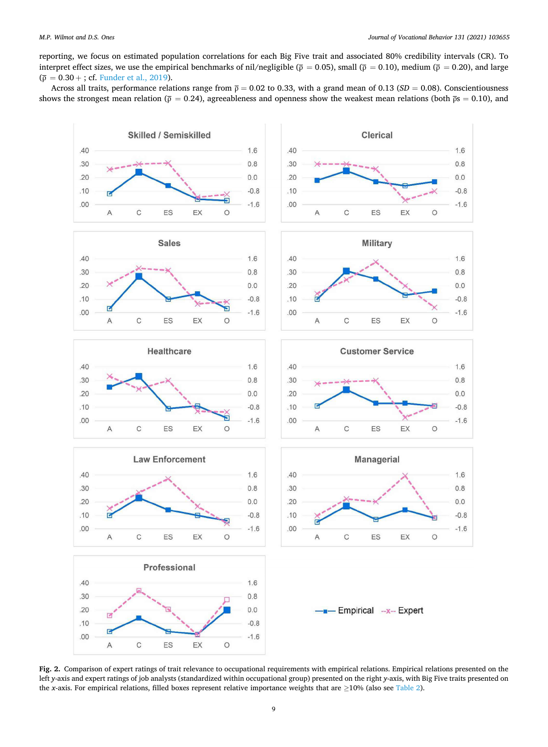<span id="page-8-0"></span>reporting, we focus on estimated population correlations for each Big Five trait and associated 80% credibility intervals (CR). To interpret effect sizes, we use the empirical benchmarks of nil/negligible ( $\bar{p} = 0.05$ ), small ( $\bar{p} = 0.10$ ), medium ( $\bar{p} = 0.20$ ), and large  $(\bar{\rho} = 0.30 +$ ; cf. [Funder et al., 2019\)](#page-16-0).

Across all traits, performance relations range from  $\bar{p} = 0.02$  to 0.33, with a grand mean of 0.13 (*SD* = 0.08). Conscientiousness shows the strongest mean relation ( $\bar{p} = 0.24$ ), agreeableness and openness show the weakest mean relations (both  $\bar{p}s = 0.10$ ), and



**Fig. 2.** Comparison of expert ratings of trait relevance to occupational requirements with empirical relations. Empirical relations presented on the left *y*-axis and expert ratings of job analysts (standardized within occupational group) presented on the right *y*-axis, with Big Five traits presented on the *x*-axis. For empirical relations, filled boxes represent relative importance weights that are ≥10% (also see [Table 2\)](#page-7-0).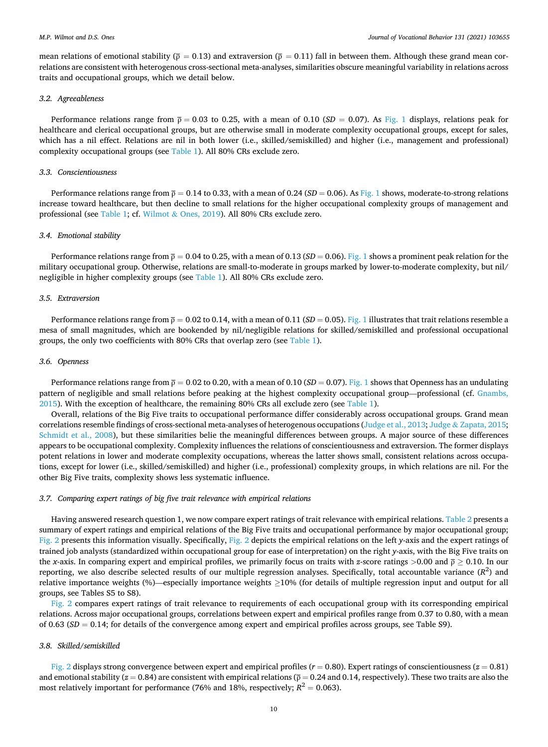mean relations of emotional stability ( $\bar{p} = 0.13$ ) and extraversion ( $\bar{p} = 0.11$ ) fall in between them. Although these grand mean correlations are consistent with heterogenous cross-sectional meta-analyses, similarities obscure meaningful variability in relations across traits and occupational groups, which we detail below.

#### *3.2. Agreeableness*

Performance relations range from  $\bar{p} = 0.03$  to 0.25, with a mean of 0.10 (*SD* = 0.07). As [Fig. 1](#page-6-0) displays, relations peak for healthcare and clerical occupational groups, but are otherwise small in moderate complexity occupational groups, except for sales, which has a nil effect. Relations are nil in both lower (i.e., skilled/semiskilled) and higher (i.e., management and professional) complexity occupational groups (see [Table 1\)](#page-3-0). All 80% CRs exclude zero.

## *3.3. Conscientiousness*

Performance relations range from  $\bar{p} = 0.14$  to 0.33, with a mean of 0.24 (*SD* = 0.06). As [Fig. 1](#page-6-0) shows, moderate-to-strong relations increase toward healthcare, but then decline to small relations for the higher occupational complexity groups of management and professional (see [Table 1;](#page-3-0) cf. Wilmot & [Ones, 2019](#page-17-0)). All 80% CRs exclude zero.

#### *3.4. Emotional stability*

Performance relations range from  $\bar{p} = 0.04$  to 0.25, with a mean of 0.13 (*SD* = 0.06). [Fig. 1](#page-6-0) shows a prominent peak relation for the military occupational group. Otherwise, relations are small-to-moderate in groups marked by lower-to-moderate complexity, but nil/ negligible in higher complexity groups (see [Table 1\)](#page-3-0). All 80% CRs exclude zero.

#### *3.5. Extraversion*

Performance relations range from  $\bar{p} = 0.02$  to 0.14, with a mean of 0.11 (*SD* = 0.05). [Fig. 1](#page-6-0) illustrates that trait relations resemble a mesa of small magnitudes, which are bookended by nil/negligible relations for skilled/semiskilled and professional occupational groups, the only two coefficients with 80% CRs that overlap zero (see [Table 1\)](#page-3-0).

## *3.6. Openness*

Performance relations range from  $\bar{p} = 0.02$  to 0.20, with a mean of 0.10 (*SD* = 0.07). [Fig. 1](#page-6-0) shows that Openness has an undulating pattern of negligible and small relations before peaking at the highest complexity occupational group—professional (cf. [Gnambs,](#page-16-0) [2015\)](#page-16-0). With the exception of healthcare, the remaining 80% CRs all exclude zero (see [Table 1\)](#page-3-0).

Overall, relations of the Big Five traits to occupational performance differ considerably across occupational groups. Grand mean correlations resemble findings of cross-sectional meta-analyses of heterogenous occupations ([Judge et al., 2013](#page-16-0); Judge & [Zapata, 2015](#page-16-0); [Schmidt et al., 2008](#page-17-0)), but these similarities belie the meaningful differences between groups. A major source of these differences appears to be occupational complexity. Complexity influences the relations of conscientiousness and extraversion. The former displays potent relations in lower and moderate complexity occupations, whereas the latter shows small, consistent relations across occupations, except for lower (i.e., skilled/semiskilled) and higher (i.e., professional) complexity groups, in which relations are nil. For the other Big Five traits, complexity shows less systematic influence.

#### *3.7. Comparing expert ratings of big five trait relevance with empirical relations*

Having answered research question 1, we now compare expert ratings of trait relevance with empirical relations. [Table 2](#page-7-0) presents a summary of expert ratings and empirical relations of the Big Five traits and occupational performance by major occupational group; [Fig. 2](#page-8-0) presents this information visually. Specifically, [Fig. 2](#page-8-0) depicts the empirical relations on the left *y*-axis and the expert ratings of trained job analysts (standardized within occupational group for ease of interpretation) on the right *y*-axis, with the Big Five traits on the *x*-axis. In comparing expert and empirical profiles, we primarily focus on traits with *z*-score ratings *>*0.00 and ρ ≥ 0.10. In our reporting, we also describe selected results of our multiple regression analyses. Specifically, total accountable variance (*R* 2 ) and relative importance weights (%)—especially importance weights ≥10% (for details of multiple regression input and output for all groups, see Tables S5 to S8).

[Fig. 2](#page-8-0) compares expert ratings of trait relevance to requirements of each occupational group with its corresponding empirical relations. Across major occupational groups, correlations between expert and empirical profiles range from 0.37 to 0.80, with a mean of  $0.63$  ( $SD = 0.14$ ; for details of the convergence among expert and empirical profiles across groups, see Table S9).

## *3.8. Skilled/semiskilled*

[Fig. 2](#page-8-0) displays strong convergence between expert and empirical profiles (*r* = 0.80). Expert ratings of conscientiousness (*z* = 0.81) and emotional stability ( $z = 0.84$ ) are consistent with empirical relations ( $\bar{p} = 0.24$  and 0.14, respectively). These two traits are also the most relatively important for performance (76% and 18%, respectively;  $R^2 = 0.063$ ).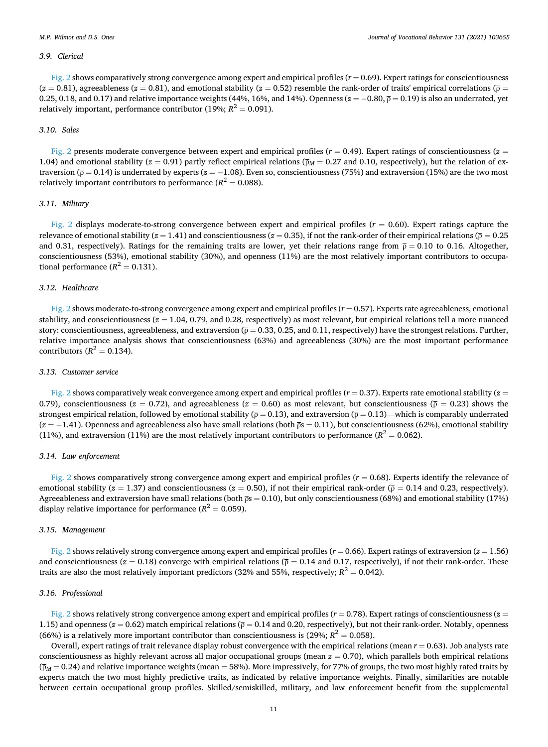#### *3.9. Clerical*

 $Fig. 2$  shows comparatively strong convergence among expert and empirical profiles  $(r = 0.69)$ . Expert ratings for conscientiousness  $(z = 0.81)$ , agreeableness  $(z = 0.81)$ , and emotional stability  $(z = 0.52)$  resemble the rank-order of traits' empirical correlations ( $\bar{p}$ ) 0.25, 0.18, and 0.17) and relative importance weights (44%, 16%, and 14%). Openness ( $z = -0.80, \bar{p} = 0.19$ ) is also an underrated, yet relatively important, performance contributor (19%;  $R^2 = 0.091$ ).

## *3.10. Sales*

[Fig. 2](#page-8-0) presents moderate convergence between expert and empirical profiles  $(r = 0.49)$ . Expert ratings of conscientiousness ( $z =$ 1.04) and emotional stability ( $z = 0.91$ ) partly reflect empirical relations ( $\bar{p}_M = 0.27$  and 0.10, respectively), but the relation of extraversion ( $\bar{p}$  = 0.14) is underrated by experts ( $z = -1.08$ ). Even so, conscientiousness (75%) and extraversion (15%) are the two most relatively important contributors to performance  $(R^2 = 0.088)$ .

## *3.11. Military*

[Fig. 2](#page-8-0) displays moderate-to-strong convergence between expert and empirical profiles  $(r = 0.60)$ . Expert ratings capture the relevance of emotional stability ( $z = 1.41$ ) and conscientiousness ( $z = 0.35$ ), if not the rank-order of their empirical relations ( $\bar{p} = 0.25$ ) and 0.31, respectively). Ratings for the remaining traits are lower, yet their relations range from  $\bar{p} = 0.10$  to 0.16. Altogether, conscientiousness (53%), emotional stability (30%), and openness (11%) are the most relatively important contributors to occupational performance  $(R^2 = 0.131)$ .

#### *3.12. Healthcare*

[Fig. 2](#page-8-0) shows moderate-to-strong convergence among expert and empirical profiles ( $r = 0.57$ ). Experts rate agreeableness, emotional stability, and conscientiousness (*z* = 1.04, 0.79, and 0.28, respectively) as most relevant, but empirical relations tell a more nuanced story: conscientiousness, agreeableness, and extraversion ( $\bar{p} = 0.33, 0.25,$  and 0.11, respectively) have the strongest relations. Further, relative importance analysis shows that conscientiousness (63%) and agreeableness (30%) are the most important performance contributors  $(R^2 = 0.134)$ .

## *3.13. Customer service*

[Fig. 2](#page-8-0) shows comparatively weak convergence among expert and empirical profiles  $(r = 0.37)$ . Experts rate emotional stability  $(z = 0.37)$ 0.79), conscientiousness ( $z = 0.72$ ), and agreeableness ( $z = 0.60$ ) as most relevant, but conscientiousness ( $\bar{\rho} = 0.23$ ) shows the strongest empirical relation, followed by emotional stability ( $\bar{p} = 0.13$ ), and extraversion ( $\bar{p} = 0.13$ )—which is comparably underrated  $(z = -1.41)$ . Openness and agreeableness also have small relations (both  $\bar{p}s = 0.11$ ), but conscientiousness (62%), emotional stability (11%), and extraversion (11%) are the most relatively important contributors to performance  $(R^2 = 0.062)$ .

## *3.14. Law enforcement*

[Fig. 2](#page-8-0) shows comparatively strong convergence among expert and empirical profiles (*r* = 0.68). Experts identify the relevance of emotional stability ( $z = 1.37$ ) and conscientiousness ( $z = 0.50$ ), if not their empirical rank-order ( $\bar{\rho} = 0.14$  and 0.23, respectively). Agreeableness and extraversion have small relations (both  $\bar{p}s = 0.10$ ), but only conscientiousness (68%) and emotional stability (17%) display relative importance for performance  $(R^2 = 0.059)$ .

# *3.15. Management*

[Fig. 2](#page-8-0) shows relatively strong convergence among expert and empirical profiles (*r* = 0.66). Expert ratings of extraversion (*z* = 1.56) and conscientiousness ( $z = 0.18$ ) converge with empirical relations ( $\bar{p} = 0.14$  and 0.17, respectively), if not their rank-order. These traits are also the most relatively important predictors (32% and 55%, respectively;  $R^2 = 0.042$ ).

#### *3.16. Professional*

[Fig. 2](#page-8-0) shows relatively strong convergence among expert and empirical profiles (*r* = 0.78). Expert ratings of conscientiousness (*z* = 1.15) and openness ( $z = 0.62$ ) match empirical relations ( $\bar{p} = 0.14$  and 0.20, respectively), but not their rank-order. Notably, openness (66%) is a relatively more important contributor than conscientiousness is (29%;  $R^2 = 0.058$ ).

Overall, expert ratings of trait relevance display robust convergence with the empirical relations (mean *r* = 0.63). Job analysts rate conscientiousness as highly relevant across all major occupational groups (mean *z* = 0.70), which parallels both empirical relations (ρ*M* = 0.24) and relative importance weights (mean = 58%). More impressively, for 77% of groups, the two most highly rated traits by experts match the two most highly predictive traits, as indicated by relative importance weights. Finally, similarities are notable between certain occupational group profiles. Skilled/semiskilled, military, and law enforcement benefit from the supplemental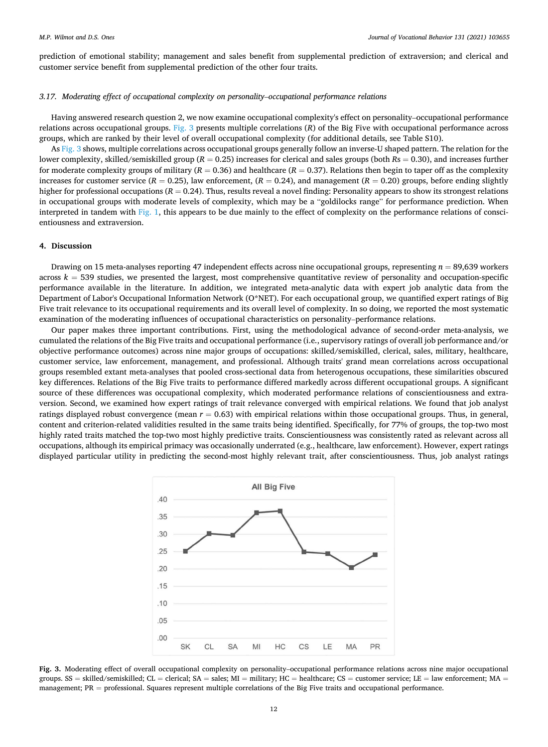prediction of emotional stability; management and sales benefit from supplemental prediction of extraversion; and clerical and customer service benefit from supplemental prediction of the other four traits.

# *3.17. Moderating effect of occupational complexity on personality*–*occupational performance relations*

Having answered research question 2, we now examine occupational complexity's effect on personality–occupational performance relations across occupational groups. Fig. 3 presents multiple correlations (*R*) of the Big Five with occupational performance across groups, which are ranked by their level of overall occupational complexity (for additional details, see Table S10).

As Fig. 3 shows, multiple correlations across occupational groups generally follow an inverse-U shaped pattern. The relation for the lower complexity, skilled/semiskilled group (*R* = 0.25) increases for clerical and sales groups (both *R*s = 0.30), and increases further for moderate complexity groups of military  $(R = 0.36)$  and healthcare  $(R = 0.37)$ . Relations then begin to taper off as the complexity increases for customer service ( $R = 0.25$ ), law enforcement, ( $R = 0.24$ ), and management ( $R = 0.20$ ) groups, before ending slightly higher for professional occupations ( $R = 0.24$ ). Thus, results reveal a novel finding: Personality appears to show its strongest relations in occupational groups with moderate levels of complexity, which may be a "goldilocks range" for performance prediction. When interpreted in tandem with [Fig. 1,](#page-6-0) this appears to be due mainly to the effect of complexity on the performance relations of conscientiousness and extraversion.

## **4. Discussion**

Drawing on 15 meta-analyses reporting 47 independent effects across nine occupational groups, representing *n* = 89,639 workers across  $k = 539$  studies, we presented the largest, most comprehensive quantitative review of personality and occupation-specific performance available in the literature. In addition, we integrated meta-analytic data with expert job analytic data from the Department of Labor's Occupational Information Network (O\*NET). For each occupational group, we quantified expert ratings of Big Five trait relevance to its occupational requirements and its overall level of complexity. In so doing, we reported the most systematic examination of the moderating influences of occupational characteristics on personality–performance relations.

Our paper makes three important contributions. First, using the methodological advance of second-order meta-analysis, we cumulated the relations of the Big Five traits and occupational performance (i.e., supervisory ratings of overall job performance and/or objective performance outcomes) across nine major groups of occupations: skilled/semiskilled, clerical, sales, military, healthcare, customer service, law enforcement, management, and professional. Although traits' grand mean correlations across occupational groups resembled extant meta-analyses that pooled cross-sectional data from heterogenous occupations, these similarities obscured key differences. Relations of the Big Five traits to performance differed markedly across different occupational groups. A significant source of these differences was occupational complexity, which moderated performance relations of conscientiousness and extraversion. Second, we examined how expert ratings of trait relevance converged with empirical relations. We found that job analyst ratings displayed robust convergence (mean *r* = 0.63) with empirical relations within those occupational groups. Thus, in general, content and criterion-related validities resulted in the same traits being identified. Specifically, for 77% of groups, the top-two most highly rated traits matched the top-two most highly predictive traits. Conscientiousness was consistently rated as relevant across all occupations, although its empirical primacy was occasionally underrated (e.g., healthcare, law enforcement). However, expert ratings displayed particular utility in predicting the second-most highly relevant trait, after conscientiousness. Thus, job analyst ratings



**Fig. 3.** Moderating effect of overall occupational complexity on personality–occupational performance relations across nine major occupational groups.  $SS =$  skilled/semiskilled; CL = clerical; SA = sales; MI = military; HC = healthcare; CS = customer service; LE = law enforcement; MA = management; PR = professional. Squares represent multiple correlations of the Big Five traits and occupational performance.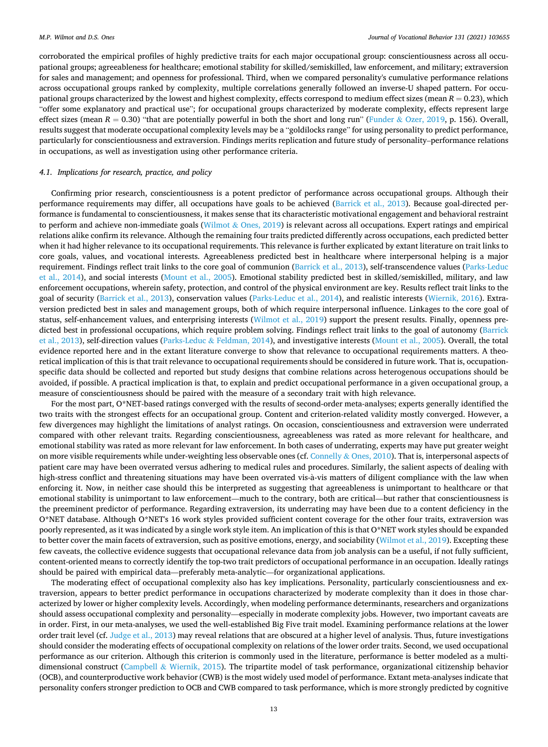corroborated the empirical profiles of highly predictive traits for each major occupational group: conscientiousness across all occupational groups; agreeableness for healthcare; emotional stability for skilled/semiskilled, law enforcement, and military; extraversion for sales and management; and openness for professional. Third, when we compared personality's cumulative performance relations across occupational groups ranked by complexity, multiple correlations generally followed an inverse-U shaped pattern. For occupational groups characterized by the lowest and highest complexity, effects correspond to medium effect sizes (mean  $R = 0.23$ ), which "offer some explanatory and practical use"; for occupational groups characterized by moderate complexity, effects represent large effect sizes (mean  $R = 0.30$ ) "that are potentially powerful in both the short and long run" (Funder & [Ozer, 2019](#page-16-0), p. 156). Overall, results suggest that moderate occupational complexity levels may be a "goldilocks range" for using personality to predict performance, particularly for conscientiousness and extraversion. Findings merits replication and future study of personality–performance relations in occupations, as well as investigation using other performance criteria.

# *4.1. Implications for research, practice, and policy*

Confirming prior research, conscientiousness is a potent predictor of performance across occupational groups. Although their performance requirements may differ, all occupations have goals to be achieved [\(Barrick et al., 2013\)](#page-16-0). Because goal-directed performance is fundamental to conscientiousness, it makes sense that its characteristic motivational engagement and behavioral restraint to perform and achieve non-immediate goals (Wilmot  $&$  [Ones, 2019](#page-17-0)) is relevant across all occupations. Expert ratings and empirical relations alike confirm its relevance. Although the remaining four traits predicted differently across occupations, each predicted better when it had higher relevance to its occupational requirements. This relevance is further explicated by extant literature on trait links to core goals, values, and vocational interests. Agreeableness predicted best in healthcare where interpersonal helping is a major requirement. Findings reflect trait links to the core goal of communion [\(Barrick et al., 2013\)](#page-16-0), self-transcendence values ([Parks-Leduc](#page-16-0) [et al., 2014](#page-16-0)), and social interests ([Mount et al., 2005](#page-16-0)). Emotional stability predicted best in skilled/semiskilled, military, and law enforcement occupations, wherein safety, protection, and control of the physical environment are key. Results reflect trait links to the goal of security [\(Barrick et al., 2013\)](#page-16-0), conservation values ([Parks-Leduc et al., 2014\)](#page-16-0), and realistic interests ([Wiernik, 2016](#page-17-0)). Extraversion predicted best in sales and management groups, both of which require interpersonal influence. Linkages to the core goal of status, self-enhancement values, and enterprising interests [\(Wilmot et al., 2019\)](#page-17-0) support the present results. Finally, openness pre-dicted best in professional occupations, which require problem solving. Findings reflect trait links to the goal of autonomy ([Barrick](#page-16-0) [et al., 2013\)](#page-16-0), self-direction values (Parks-Leduc & [Feldman, 2014](#page-16-0)), and investigative interests ([Mount et al., 2005\)](#page-16-0). Overall, the total evidence reported here and in the extant literature converge to show that relevance to occupational requirements matters. A theoretical implication of this is that trait relevance to occupational requirements should be considered in future work. That is, occupationspecific data should be collected and reported but study designs that combine relations across heterogenous occupations should be avoided, if possible. A practical implication is that, to explain and predict occupational performance in a given occupational group, a measure of conscientiousness should be paired with the measure of a secondary trait with high relevance.

For the most part, O\*NET-based ratings converged with the results of second-order meta-analyses; experts generally identified the two traits with the strongest effects for an occupational group. Content and criterion-related validity mostly converged. However, a few divergences may highlight the limitations of analyst ratings. On occasion, conscientiousness and extraversion were underrated compared with other relevant traits. Regarding conscientiousness, agreeableness was rated as more relevant for healthcare, and emotional stability was rated as more relevant for law enforcement. In both cases of underrating, experts may have put greater weight on more visible requirements while under-weighting less observable ones (cf. Connelly & [Ones, 2010\)](#page-16-0). That is, interpersonal aspects of patient care may have been overrated versus adhering to medical rules and procedures. Similarly, the salient aspects of dealing with high-stress conflict and threatening situations may have been overrated vis-à-vis matters of diligent compliance with the law when enforcing it. Now, in neither case should this be interpreted as suggesting that agreeableness is unimportant to healthcare or that emotional stability is unimportant to law enforcement—much to the contrary, both are critical—but rather that conscientiousness is the preeminent predictor of performance. Regarding extraversion, its underrating may have been due to a content deficiency in the O\*NET database. Although O\*NET's 16 work styles provided sufficient content coverage for the other four traits, extraversion was poorly represented, as it was indicated by a single work style item. An implication of this is that O\*NET work styles should be expanded to better cover the main facets of extraversion, such as positive emotions, energy, and sociability [\(Wilmot et al., 2019\)](#page-17-0). Excepting these few caveats, the collective evidence suggests that occupational relevance data from job analysis can be a useful, if not fully sufficient, content-oriented means to correctly identify the top-two trait predictors of occupational performance in an occupation. Ideally ratings should be paired with empirical data—preferably meta-analytic—for organizational applications.

The moderating effect of occupational complexity also has key implications. Personality, particularly conscientiousness and extraversion, appears to better predict performance in occupations characterized by moderate complexity than it does in those characterized by lower or higher complexity levels. Accordingly, when modeling performance determinants, researchers and organizations should assess occupational complexity and personality—especially in moderate complexity jobs. However, two important caveats are in order. First, in our meta-analyses, we used the well-established Big Five trait model. Examining performance relations at the lower order trait level (cf. [Judge et al., 2013\)](#page-16-0) may reveal relations that are obscured at a higher level of analysis. Thus, future investigations should consider the moderating effects of occupational complexity on relations of the lower order traits. Second, we used occupational performance as our criterion. Although this criterion is commonly used in the literature, performance is better modeled as a multidimensional construct (Campbell & [Wiernik, 2015\)](#page-16-0). The tripartite model of task performance, organizational citizenship behavior (OCB), and counterproductive work behavior (CWB) is the most widely used model of performance. Extant meta-analyses indicate that personality confers stronger prediction to OCB and CWB compared to task performance, which is more strongly predicted by cognitive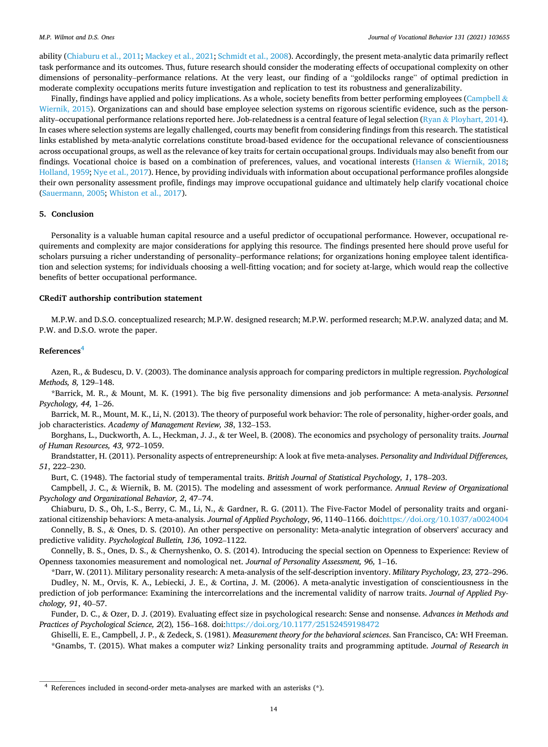ability ([Chiaburu et al., 2011](#page-16-0); [Mackey et al., 2021;](#page-16-0) [Schmidt et al., 2008\)](#page-17-0). Accordingly, the present meta-analytic data primarily reflect task performance and its outcomes. Thus, future research should consider the moderating effects of occupational complexity on other dimensions of personality–performance relations. At the very least, our finding of a "goldilocks range" of optimal prediction in moderate complexity occupations merits future investigation and replication to test its robustness and generalizability.

Finally, findings have applied and policy implications. As a whole, society benefits from better performing employees ([Campbell](#page-16-0)  $\&$ [Wiernik, 2015\)](#page-16-0). Organizations can and should base employee selection systems on rigorous scientific evidence, such as the person-ality–occupational performance relations reported here. Job-relatedness is a central feature of legal selection (Ryan & [Ployhart, 2014](#page-16-0)). In cases where selection systems are legally challenged, courts may benefit from considering findings from this research. The statistical links established by meta-analytic correlations constitute broad-based evidence for the occupational relevance of conscientiousness across occupational groups, as well as the relevance of key traits for certain occupational groups. Individuals may also benefit from our findings. Vocational choice is based on a combination of preferences, values, and vocational interests (Hansen & [Wiernik, 2018](#page-16-0); [Holland, 1959; Nye et al., 2017](#page-16-0)). Hence, by providing individuals with information about occupational performance profiles alongside their own personality assessment profile, findings may improve occupational guidance and ultimately help clarify vocational choice [\(Sauermann, 2005](#page-17-0); [Whiston et al., 2017\)](#page-17-0).

# **5. Conclusion**

Personality is a valuable human capital resource and a useful predictor of occupational performance. However, occupational requirements and complexity are major considerations for applying this resource. The findings presented here should prove useful for scholars pursuing a richer understanding of personality–performance relations; for organizations honing employee talent identification and selection systems; for individuals choosing a well-fitting vocation; and for society at-large, which would reap the collective benefits of better occupational performance.

### **CRediT authorship contribution statement**

M.P.W. and D.S.O. conceptualized research; M.P.W. designed research; M.P.W. performed research; M.P.W. analyzed data; and M. P.W. and D.S.O. wrote the paper.

# **References<sup>4</sup>**

Azen, R., & Budescu, D. V. (2003). The dominance analysis approach for comparing predictors in multiple regression. *Psychological Methods, 8,* 129–148.

\*Barrick, M. R., & Mount, M. K. (1991). The big five personality dimensions and job performance: A meta-analysis. *Personnel Psychology, 44,* 1–26.

Barrick, M. R., Mount, M. K., Li, N. (2013). The theory of purposeful work behavior: The role of personality, higher-order goals, and job characteristics. *Academy of Management Review, 38*, 132–153.

Borghans, L., Duckworth, A. L., Heckman, J. J., & ter Weel, B. (2008). The economics and psychology of personality traits. *Journal of Human Resources, 43,* 972–1059.

Brandstatter, H. (2011). Personality aspects of entrepreneurship: A look at five meta-analyses. *Personality and Individual Differences, 51*, 222–230.

Burt, C. (1948). The factorial study of temperamental traits. *British Journal of Statistical Psychology, 1*, 178–203.

Campbell, J. C., & Wiernik, B. M. (2015). The modeling and assessment of work performance. *Annual Review of Organizational Psychology and Organizational Behavior, 2*, 47–74.

Chiaburu, D. S., Oh, I.-S., Berry, C. M., Li, N., & Gardner, R. G. (2011). The Five-Factor Model of personality traits and organizational citizenship behaviors: A meta-analysis. *Journal of Applied Psychology*, *96*, 1140–1166. doi[:https://doi.org/10.1037/a0024004](https://doi.org/10.1037/a0024004)

Connelly, B. S., & Ones, D. S. (2010). An other perspective on personality: Meta-analytic integration of observers' accuracy and predictive validity. *Psychological Bulletin, 136,* 1092–1122.

Connelly, B. S., Ones, D. S., & Chernyshenko, O. S. (2014). Introducing the special section on Openness to Experience: Review of Openness taxonomies measurement and nomological net. *Journal of Personality Assessment, 96,* 1–16.

\*Darr, W. (2011). Military personality research: A meta-analysis of the self-description inventory. *Military Psychology, 23,* 272–296. Dudley, N. M., Orvis, K. A., Lebiecki, J. E., & Cortina, J. M. (2006). A meta-analytic investigation of conscientiousness in the prediction of job performance: Examining the intercorrelations and the incremental validity of narrow traits. *Journal of Applied Psychology, 91*, 40–57.

Funder, D. C., & Ozer, D. J. (2019). Evaluating effect size in psychological research: Sense and nonsense. *Advances in Methods and Practices of Psychological Science, 2*(2)*,* 156–168. doi[:https://doi.org/10.1177/25152459198472](https://doi.org/10.1177/25152459198472) 

Ghiselli, E. E., Campbell, J. P., & Zedeck, S. (1981). *Measurement theory for the behavioral sciences*. San Francisco, CA: WH Freeman. \*Gnambs, T. (2015). What makes a computer wiz? Linking personality traits and programming aptitude. *Journal of Research in* 

 $4$  References included in second-order meta-analyses are marked with an asterisks  $(*)$ .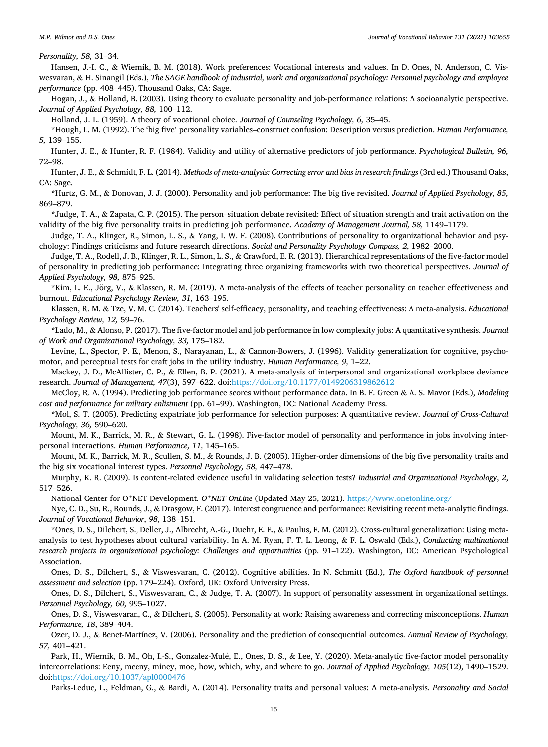#### *M.P. Wilmot and D.S. Ones*

*Personality, 58,* 31–34.

Hansen, J.-I. C., & Wiernik, B. M. (2018). Work preferences: Vocational interests and values. In D. Ones, N. Anderson, C. Viswesvaran, & H. Sinangil (Eds.), *The SAGE handbook of industrial, work and organizational psychology: Personnel psychology and employee performance* (pp. 408–445). Thousand Oaks, CA: Sage.

Hogan, J., & Holland, B. (2003). Using theory to evaluate personality and job-performance relations: A socioanalytic perspective. *Journal of Applied Psychology, 88,* 100–112.

Holland, J. L. (1959). A theory of vocational choice. *Journal of Counseling Psychology, 6,* 35–45.

\*Hough, L. M. (1992). The 'big five' personality variables–construct confusion: Description versus prediction. *Human Performance, 5,* 139–155.

Hunter, J. E., & Hunter, R. F. (1984). Validity and utility of alternative predictors of job performance. *Psychological Bulletin, 96,*  72–98.

Hunter, J. E., & Schmidt, F. L. (2014). *Methods of meta-analysis: Correcting error and bias in research findings* (3rd ed.) Thousand Oaks, CA: Sage.

\*Hurtz, G. M., & Donovan, J. J. (2000). Personality and job performance: The big five revisited. *Journal of Applied Psychology, 85,*  869–879.

\*Judge, T. A., & Zapata, C. P. (2015). The person–situation debate revisited: Effect of situation strength and trait activation on the validity of the big five personality traits in predicting job performance. *Academy of Management Journal, 58,* 1149–1179.

Judge, T. A., Klinger, R., Simon, L. S., & Yang, I. W. F. (2008). Contributions of personality to organizational behavior and psychology: Findings criticisms and future research directions. *Social and Personality Psychology Compass, 2,* 1982–2000.

Judge, T. A., Rodell, J. B., Klinger, R. L., Simon, L. S., & Crawford, E. R. (2013). Hierarchical representations of the five-factor model of personality in predicting job performance: Integrating three organizing frameworks with two theoretical perspectives. *Journal of Applied Psychology, 98,* 875–925.

\*Kim, L. E., Jörg, V., & Klassen, R. M. (2019). A meta-analysis of the effects of teacher personality on teacher effectiveness and burnout. *Educational Psychology Review, 31,* 163–195.

Klassen, R. M. & Tze, V. M. C. (2014). Teachers' self-efficacy, personality, and teaching effectiveness: A meta-analysis. *Educational Psychology Review, 12,* 59–76.

\*Lado, M., & Alonso, P. (2017). The five-factor model and job performance in low complexity jobs: A quantitative synthesis. *Journal of Work and Organizational Psychology, 33,* 175–182.

Levine, L., Spector, P. E., Menon, S., Narayanan, L., & Cannon-Bowers, J. (1996). Validity generalization for cognitive, psychomotor, and perceptual tests for craft jobs in the utility industry. *Human Performance, 9,* 1–22.

Mackey, J. D., McAllister, C. P., & Ellen, B. P. (2021). A meta-analysis of interpersonal and organizational workplace deviance research. *Journal of Management, 47*(3), 597–622. doi[:https://doi.org/10.1177/0149206319862612](https://doi.org/10.1177/0149206319862612) 

McCloy, R. A. (1994). Predicting job performance scores without performance data. In B. F. Green & A. S. Mavor (Eds.), *Modeling cost and performance for military enlistment* (pp. 61–99). Washington, DC: National Academy Press.

\*Mol, S. T. (2005). Predicting expatriate job performance for selection purposes: A quantitative review. *Journal of Cross-Cultural Psychology, 36,* 590–620.

Mount, M. K., Barrick, M. R., & Stewart, G. L. (1998). Five-factor model of personality and performance in jobs involving interpersonal interactions. *Human Performance, 11,* 145–165.

Mount, M. K., Barrick, M. R., Scullen, S. M., & Rounds, J. B. (2005). Higher-order dimensions of the big five personality traits and the big six vocational interest types. *Personnel Psychology, 58,* 447–478.

Murphy, K. R. (2009). Is content-related evidence useful in validating selection tests? *Industrial and Organizational Psychology*, *2*, 517–526.

National Center for O\*NET Development. *O\*NET OnLine* (Updated May 25, 2021).<https://www.onetonline.org/>

Nye, C. D., Su, R., Rounds, J., & Drasgow, F. (2017). Interest congruence and performance: Revisiting recent meta-analytic findings. *Journal of Vocational Behavior*, *98*, 138–151.

\*Ones, D. S., Dilchert, S., Deller, J., Albrecht, A.-G., Duehr, E. E., & Paulus, F. M. (2012). Cross-cultural generalization: Using metaanalysis to test hypotheses about cultural variability. In A. M. Ryan, F. T. L. Leong, & F. L. Oswald (Eds.), *Conducting multinational research projects in organizational psychology: Challenges and opportunities* (pp. 91–122). Washington, DC: American Psychological Association.

Ones, D. S., Dilchert, S., & Viswesvaran, C. (2012). Cognitive abilities. In N. Schmitt (Ed.), *The Oxford handbook of personnel assessment and selection* (pp. 179–224). Oxford, UK: Oxford University Press.

Ones, D. S., Dilchert, S., Viswesvaran, C., & Judge, T. A. (2007). In support of personality assessment in organizational settings. *Personnel Psychology, 60,* 995–1027.

Ones, D. S., Viswesvaran, C., & Dilchert, S. (2005). Personality at work: Raising awareness and correcting misconceptions. *Human Performance, 18*, 389–404.

Ozer, D. J., & Benet-Martínez, V. (2006). Personality and the prediction of consequential outcomes. *Annual Review of Psychology, 57,* 401–421.

Park, H., Wiernik, B. M., Oh, I.-S., Gonzalez-Mulé, E., Ones, D. S., & Lee, Y. (2020). Meta-analytic five-factor model personality intercorrelations: Eeny, meeny, miney, moe, how, which, why, and where to go. *Journal of Applied Psychology, 105*(12), 1490–1529. doi[:https://doi.org/10.1037/apl0000476](https://doi.org/10.1037/apl0000476) 

Parks-Leduc, L., Feldman, G., & Bardi, A. (2014). Personality traits and personal values: A meta-analysis. *Personality and Social*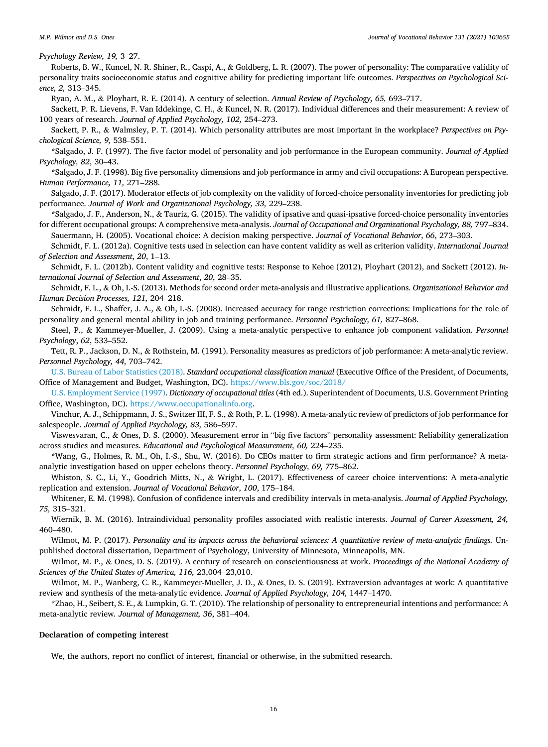*Psychology Review, 19,* 3–27.

Roberts, B. W., Kuncel, N. R. Shiner, R., Caspi, A., & Goldberg, L. R. (2007). The power of personality: The comparative validity of personality traits socioeconomic status and cognitive ability for predicting important life outcomes. *Perspectives on Psychological Science, 2,* 313–345.

Ryan, A. M., & Ployhart, R. E. (2014). A century of selection. *Annual Review of Psychology, 65,* 693–717.

Sackett, P. R. Lievens, F. Van Iddekinge, C. H., & Kuncel, N. R. (2017). Individual differences and their measurement: A review of 100 years of research. *Journal of Applied Psychology, 102,* 254–273.

Sackett, P. R., & Walmsley, P. T. (2014). Which personality attributes are most important in the workplace? *Perspectives on Psychological Science, 9,* 538–551.

\*Salgado, J. F. (1997). The five factor model of personality and job performance in the European community. *Journal of Applied Psychology, 82*, 30–43.

\*Salgado, J. F. (1998). Big five personality dimensions and job performance in army and civil occupations: A European perspective. *Human Performance, 11,* 271–288.

Salgado, J. F. (2017). Moderator effects of job complexity on the validity of forced-choice personality inventories for predicting job performance. *Journal of Work and Organizational Psychology, 33,* 229–238.

\*Salgado, J. F., Anderson, N., & Tauriz, G. (2015). The validity of ipsative and quasi-ipsative forced-choice personality inventories for different occupational groups: A comprehensive meta-analysis. *Journal of Occupational and Organizational Psychology, 88,* 797–834. Sauermann, H. (2005). Vocational choice: A decision making perspective. *Journal of Vocational Behavior*, *66*, 273–303.

Schmidt, F. L. (2012a). Cognitive tests used in selection can have content validity as well as criterion validity. *International Journal of Selection and Assessment*, *20*, 1–13.

Schmidt, F. L. (2012b). Content validity and cognitive tests: Response to Kehoe (2012), Ployhart (2012), and Sackett (2012). *International Journal of Selection and Assessment*, *20*, 28–35.

Schmidt, F. L., & Oh, I.-S. (2013). Methods for second order meta-analysis and illustrative applications. *Organizational Behavior and Human Decision Processes, 121,* 204–218.

Schmidt, F. L., Shaffer, J. A., & Oh, I.-S. (2008). Increased accuracy for range restriction corrections: Implications for the role of personality and general mental ability in job and training performance. *Personnel Psychology, 61,* 827–868.

Steel, P., & Kammeyer-Mueller, J. (2009). Using a meta-analytic perspective to enhance job component validation. *Personnel Psychology*, *62*, 533–552.

Tett, R. P., Jackson, D. N., & Rothstein, M. (1991). Personality measures as predictors of job performance: A meta-analytic review. *Personnel Psychology, 44,* 703–742.

[U.S. Bureau of Labor Statistics \(2018\).](#page-17-0) *Standard occupational classification manual* (Executive Office of the President, of Documents, Office of Management and Budget, Washington, DC).<https://www.bls.gov/soc/2018/>

[U.S. Employment Service \(1997\)](#page-17-0). *Dictionary of occupational titles* (4th ed.). Superintendent of Documents, U.S. Government Printing Office, Washington, DC). [https://www.occupationalinfo.org.](https://www.occupationalinfo.org)

Vinchur, A. J., Schippmann, J. S., Switzer III, F. S., & Roth, P. L. (1998). A meta-analytic review of predictors of job performance for salespeople. *Journal of Applied Psychology, 83,* 586–597.

Viswesvaran, C., & Ones, D. S. (2000). Measurement error in "big five factors" personality assessment: Reliability generalization across studies and measures. *Educational and Psychological Measurement, 60,* 224–235.

\*Wang, G., Holmes, R. M., Oh, I.-S., Shu, W. (2016). Do CEOs matter to firm strategic actions and firm performance? A metaanalytic investigation based on upper echelons theory. *Personnel Psychology, 69,* 775–862.

Whiston, S. C., Li, Y., Goodrich Mitts, N., & Wright, L. (2017). Effectiveness of career choice interventions: A meta-analytic replication and extension. *Journal of Vocational Behavior*, *100*, 175–184.

Whitener, E. M. (1998). Confusion of confidence intervals and credibility intervals in meta-analysis. *Journal of Applied Psychology, 75,* 315–321.

Wiernik, B. M. (2016). Intraindividual personality profiles associated with realistic interests. *Journal of Career Assessment, 24,*  460–480.

Wilmot, M. P. (2017). *Personality and its impacts across the behavioral sciences: A quantitative review of meta-analytic findings.* Unpublished doctoral dissertation, Department of Psychology, University of Minnesota, Minneapolis, MN.

Wilmot, M. P., & Ones, D. S. (2019). A century of research on conscientiousness at work. *Proceedings of the National Academy of Sciences of the United States of America, 116,* 23,004–23,010.

Wilmot, M. P., Wanberg, C. R., Kammeyer-Mueller, J. D., & Ones, D. S. (2019). Extraversion advantages at work: A quantitative review and synthesis of the meta-analytic evidence. *Journal of Applied Psychology, 104,* 1447–1470.

\*Zhao, H., Seibert, S. E., & Lumpkin, G. T. (2010). The relationship of personality to entrepreneurial intentions and performance: A meta-analytic review*. Journal of Management, 36*, 381–404.

## **Declaration of competing interest**

We, the authors, report no conflict of interest, financial or otherwise, in the submitted research.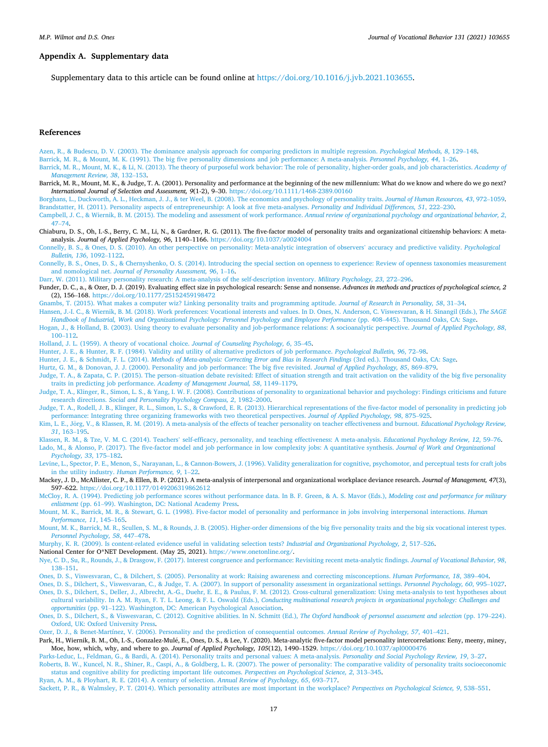## <span id="page-16-0"></span>**Appendix A. Supplementary data**

Supplementary data to this article can be found online at<https://doi.org/10.1016/j.jvb.2021.103655>.

## **References**

[Azen, R., & Budescu, D. V. \(2003\). The dominance analysis approach for comparing predictors in multiple regression.](http://refhub.elsevier.com/S0001-8791(21)00127-5/rf202110280735323774) *Psychological Methods, 8*, 129–148.

[Barrick, M. R., & Mount, M. K. \(1991\). The big five personality dimensions and job performance: A meta-analysis.](http://refhub.elsevier.com/S0001-8791(21)00127-5/rf202110280735343732) *Personnel Psychology, 44*, 1–26.

- [Barrick, M. R., Mount, M. K., & Li, N. \(2013\). The theory of purposeful work behavior: The role of personality, higher-order goals, and job characteristics.](http://refhub.elsevier.com/S0001-8791(21)00127-5/rf202110280735387323) *Academy of [Management Review, 38](http://refhub.elsevier.com/S0001-8791(21)00127-5/rf202110280735387323)*, 132–153.
- Barrick, M. R., Mount, M. K., & Judge, T. A. (2001). Personality and performance at the beginning of the new millennium: What do we know and where do we go next? *International Journal of Selection and Assessment, 9*(1-2), 9–30. <https://doi.org/10.1111/1468-2389.00160>
- [Borghans, L., Duckworth, A. L., Heckman, J. J., & ter Weel, B. \(2008\). The economics and psychology of personality traits.](http://refhub.elsevier.com/S0001-8791(21)00127-5/rf202110280725430932) *Journal of Human Resources, 43*, 972–1059. [Brandstatter, H. \(2011\). Personality aspects of entrepreneurship: A look at five meta-analyses.](http://refhub.elsevier.com/S0001-8791(21)00127-5/rf202110280735431256) *Personality and Individual Differences, 51*, 222–230.
- [Campbell, J. C., & Wiernik, B. M. \(2015\). The modeling and assessment of work performance.](http://refhub.elsevier.com/S0001-8791(21)00127-5/rf202110280725523042) *Annual review of organizational psychology and organizational behavior, 2*, [47](http://refhub.elsevier.com/S0001-8791(21)00127-5/rf202110280725523042)–74.
- Chiaburu, D. S., Oh, I.-S., Berry, C. M., Li, N., & Gardner, R. G. (2011). The five-factor model of personality traits and organizational citizenship behaviors: A metaanalysis. *Journal of Applied Psychology, 96*, 1140–1166.<https://doi.org/10.1037/a0024004>
- [Connelly, B. S., & Ones, D. S. \(2010\). An other perspective on personality: Meta-analytic integration of observers](http://refhub.elsevier.com/S0001-8791(21)00127-5/rf202110280735537048)' accuracy and predictive validity. *Psychological [Bulletin, 136](http://refhub.elsevier.com/S0001-8791(21)00127-5/rf202110280735537048)*, 1092–1122.
- [Connelly, B. S., Ones, D. S., & Chernyshenko, O. S. \(2014\). Introducing the special section on openness to experience: Review of openness taxonomies measurement](http://refhub.elsevier.com/S0001-8791(21)00127-5/rf202110280735596406) and nomological net. *[Journal of Personality Assessment, 96](http://refhub.elsevier.com/S0001-8791(21)00127-5/rf202110280735596406)*, 1–16.
- [Darr, W. \(2011\). Military personality research: A meta-analysis of the self-description inventory.](http://refhub.elsevier.com/S0001-8791(21)00127-5/rf202110280736026919) *Military Psychology, 23*, 272–296.
- Funder, D. C., a., & Ozer, D. J. (2019). Evaluating effect size in psychological research: Sense and nonsense. *Advances in methods and practices of psychological science, 2*  (2), 156–168. <https://doi.org/10.1177/25152459198472>
- [Gnambs, T. \(2015\). What makes a computer wiz? Linking personality traits and programming aptitude.](http://refhub.elsevier.com/S0001-8791(21)00127-5/rf202110280736061363) *Journal of Research in Personality, 58*, 31–34.
- [Hansen, J.-I. C., & Wiernik, B. M. \(2018\). Work preferences: Vocational interests and values. In D. Ones, N. Anderson, C. Viswesvaran, & H. Sinangil \(Eds.\),](http://refhub.elsevier.com/S0001-8791(21)00127-5/rf202110280726215385) *The SAGE [Handbook of Industrial, Work and Organizational Psychology: Personnel Psychology and Employee Performance](http://refhub.elsevier.com/S0001-8791(21)00127-5/rf202110280726215385)* (pp. 408–445). Thousand Oaks, CA: Sage.
- [Hogan, J., & Holland, B. \(2003\). Using theory to evaluate personality and job-performance relations: A socioanalytic perspective.](http://refhub.elsevier.com/S0001-8791(21)00127-5/rf202110280736077389) *Journal of Applied Psychology, 88*, 100–[112.](http://refhub.elsevier.com/S0001-8791(21)00127-5/rf202110280736077389)
- [Holland, J. L. \(1959\). A theory of vocational choice.](http://refhub.elsevier.com/S0001-8791(21)00127-5/rf202110280736119652) *Journal of Counseling Psychology, 6*, 35–45.
- [Hunter, J. E., & Hunter, R. F. \(1984\). Validity and utility of alternative predictors of job performance.](http://refhub.elsevier.com/S0001-8791(21)00127-5/rf202110280736133478) *Psychological Bulletin, 96*, 72–98.
- Hunter, J. E., & Schmidt, F. L. (2014). *[Methods of Meta-analysis: Correcting Error and Bias in Research Findings](http://refhub.elsevier.com/S0001-8791(21)00127-5/rf202110280726493374)* (3rd ed.). Thousand Oaks, CA: Sage.
- [Hurtz, G. M., & Donovan, J. J. \(2000\). Personality and job performance: The big five revisited.](http://refhub.elsevier.com/S0001-8791(21)00127-5/rf202110280736329529) *Journal of Applied Psychology, 85*, 869–879.
- Judge, T. A., & Zapata, C. P. (2015). The person–[situation debate revisited: Effect of situation strength and trait activation on the validity of the big five personality](http://refhub.elsevier.com/S0001-8791(21)00127-5/rf202110280736368433) [traits in predicting job performance.](http://refhub.elsevier.com/S0001-8791(21)00127-5/rf202110280736368433) *Academy of Management Journal, 58*, 1149–1179.
- [Judge, T. A., Klinger, R., Simon, L. S., & Yang, I. W. F. \(2008\). Contributions of personality to organizational behavior and psychology: Findings criticisms and future](http://refhub.elsevier.com/S0001-8791(21)00127-5/rf202110280736429033) research directions. *[Social and Personality Psychology Compass, 2](http://refhub.elsevier.com/S0001-8791(21)00127-5/rf202110280736429033)*, 1982–2000.
- [Judge, T. A., Rodell, J. B., Klinger, R. L., Simon, L. S., & Crawford, E. R. \(2013\). Hierarchical representations of the five-factor model of personality in predicting job](http://refhub.elsevier.com/S0001-8791(21)00127-5/rf202110280736457644) [performance: Integrating three organizing frameworks with two theoretical perspectives.](http://refhub.elsevier.com/S0001-8791(21)00127-5/rf202110280736457644) *Journal of Applied Psychology, 98*, 875–925.
- Kim, L. E., Jörg, V., & Klassen, R. M. (2019). A meta-analysis of the effects of teacher personality on teacher effectiveness and burnout. *Educational Psychology Review*, *31*[, 163](http://refhub.elsevier.com/S0001-8791(21)00127-5/rf202110280720390376)–195.

Klassen, R. M., & Tze, V. M. C. (2014). Teachers' [self-efficacy, personality, and teaching effectiveness: A meta-analysis.](http://refhub.elsevier.com/S0001-8791(21)00127-5/rf202110280726515313) *Educational Psychology Review, 12*, 59–76.

[Lado, M., & Alonso, P. \(2017\). The five-factor model and job performance in low complexity jobs: A quantitative synthesis.](http://refhub.elsevier.com/S0001-8791(21)00127-5/rf202110280726567857) *Journal of Work and Organizational [Psychology, 33](http://refhub.elsevier.com/S0001-8791(21)00127-5/rf202110280726567857)*, 175–182.

- [Levine, L., Spector, P. E., Menon, S., Narayanan, L., & Cannon-Bowers, J. \(1996\). Validity generalization for cognitive, psychomotor, and perceptual tests for craft jobs](http://refhub.elsevier.com/S0001-8791(21)00127-5/rf202110280726584505) [in the utility industry.](http://refhub.elsevier.com/S0001-8791(21)00127-5/rf202110280726584505) *Human Performance, 9*, 1–22.
- Mackey, J. D., McAllister, C. P., & Ellen, B. P. (2021). A meta-analysis of interpersonal and organizational workplace deviance research. *Journal of Management, 47*(3), 597–622. <https://doi.org/10.1177/0149206319862612>
- [McCloy, R. A. \(1994\). Predicting job performance scores without performance data. In B. F. Green, & A. S. Mavor \(Eds.\),](http://refhub.elsevier.com/S0001-8791(21)00127-5/rf202110280727115842) *Modeling cost and performance for military enlistment* (pp. 61–[99\). Washington, DC: National Academy Press.](http://refhub.elsevier.com/S0001-8791(21)00127-5/rf202110280727115842)
- [Mount, M. K., Barrick, M. R., & Stewart, G. L. \(1998\). Five-factor model of personality and performance in jobs involving interpersonal interactions.](http://refhub.elsevier.com/S0001-8791(21)00127-5/rf202110280728412921) *Human [Performance, 11](http://refhub.elsevier.com/S0001-8791(21)00127-5/rf202110280728412921)*, 145–165.
- [Mount, M. K., Barrick, M. R., Scullen, S. M., & Rounds, J. B. \(2005\). Higher-order dimensions of the big five personality traits and the big six vocational interest types.](http://refhub.elsevier.com/S0001-8791(21)00127-5/rf202110280729328708) *[Personnel Psychology, 58](http://refhub.elsevier.com/S0001-8791(21)00127-5/rf202110280729328708)*, 447–478.
- [Murphy, K. R. \(2009\). Is content-related evidence useful in validating selection tests?](http://refhub.elsevier.com/S0001-8791(21)00127-5/rf202110280733187520) *Industrial and Organizational Psychology, 2*, 517–526.

National Center for O\*NET Development. (May 25, 2021). <https://www.onetonline.org/>.

[Nye, C. D., Su, R., Rounds, J., & Drasgow, F. \(2017\). Interest congruence and performance: Revisiting recent meta-analytic findings.](http://refhub.elsevier.com/S0001-8791(21)00127-5/rf202110280736490986) *Journal of Vocational Behavior, 98*, 138–[151.](http://refhub.elsevier.com/S0001-8791(21)00127-5/rf202110280736490986)

[Ones, D. S., Viswesvaran, C., & Dilchert, S. \(2005\). Personality at work: Raising awareness and correcting misconceptions.](http://refhub.elsevier.com/S0001-8791(21)00127-5/rf202110280729461484) *Human Performance, 18*, 389–404.

[Ones, D. S., Dilchert, S., Viswesvaran, C., & Judge, T. A. \(2007\). In support of personality assessment in organizational settings.](http://refhub.elsevier.com/S0001-8791(21)00127-5/rf202110280736562176) *Personnel Psychology, 60*, 995–1027. [Ones, D. S., Dilchert, S., Deller, J., Albrecht, A.-G., Duehr, E. E., & Paulus, F. M. \(2012\). Cross-cultural generalization: Using meta-analysis to test hypotheses about](http://refhub.elsevier.com/S0001-8791(21)00127-5/rf202110280729348999) cultural variability. In A. M. Ryan, F. T. L. Leong, & F. L. Oswald (Eds.), *[Conducting multinational research projects in organizational psychology: Challenges and](http://refhub.elsevier.com/S0001-8791(21)00127-5/rf202110280729348999)* 

*opportunities* (pp. 91–[122\). Washington, DC: American Psychological Association.](http://refhub.elsevier.com/S0001-8791(21)00127-5/rf202110280729348999)

[Ones, D. S., Dilchert, S., & Viswesvaran, C. \(2012\). Cognitive abilities. In N. Schmitt \(Ed.\),](http://refhub.elsevier.com/S0001-8791(21)00127-5/rf202110280729402441) *The Oxford handbook of personnel assessment and selection* (pp. 179–224). [Oxford, UK: Oxford University Press](http://refhub.elsevier.com/S0001-8791(21)00127-5/rf202110280729402441).

[Ozer, D. J., & Benet-Martínez, V. \(2006\). Personality and the prediction of consequential outcomes.](http://refhub.elsevier.com/S0001-8791(21)00127-5/rf202110280737127066) *Annual Review of Psychology, 57*, 401–421.

Park, H., Wiernik, B. M., Oh, I.-S., Gonzalez-Mulé, E., Ones, D. S., & Lee, Y. (2020). Meta-analytic five-factor model personality intercorrelations: Eeny, meeny, miney, Moe, how, which, why, and where to go. *Journal of Applied Psychology, 105*(12), 1490–1529.<https://doi.org/10.1037/apl0000476>

[Parks-Leduc, L., Feldman, G., & Bardi, A. \(2014\). Personality traits and personal values: A meta-analysis.](http://refhub.elsevier.com/S0001-8791(21)00127-5/rf202110280729486511) *Personality and Social Psychology Review, 19*, 3–27.

[Roberts, B. W., Kuncel, N. R., Shiner, R., Caspi, A., & Goldberg, L. R. \(2007\). The power of personality: The comparative validity of personality traits socioeconomic](http://refhub.elsevier.com/S0001-8791(21)00127-5/rf202110280737231679) [status and cognitive ability for predicting important life outcomes.](http://refhub.elsevier.com/S0001-8791(21)00127-5/rf202110280737231679) *Perspectives on Psychological Science, 2*, 313–345.

[Ryan, A. M., & Ployhart, R. E. \(2014\). A century of selection.](http://refhub.elsevier.com/S0001-8791(21)00127-5/rf202110280737421356) *Annual Review of Psychology, 65*, 693–717.

[Sackett, P. R., & Walmsley, P. T. \(2014\). Which personality attributes are most important in the workplace?](http://refhub.elsevier.com/S0001-8791(21)00127-5/rf202110280737442604) *Perspectives on Psychological Science, 9*, 538–551.